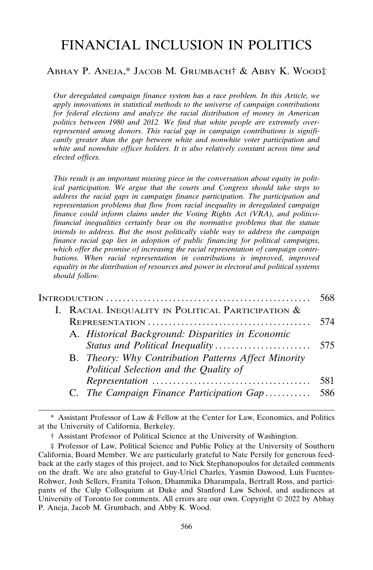# FINANCIAL INCLUSION IN POLITICS

### ABHAY P. ANEJA,\* JACOB M. GRUMBACH† & ABBY K. WOOD‡

*Our deregulated campaign finance system has a race problem. In this Article, we apply innovations in statistical methods to the universe of campaign contributions for federal elections and analyze the racial distribution of money in American politics between 1980 and 2012. We find that white people are extremely overrepresented among donors. This racial gap in campaign contributions is significantly greater than the gap between white and nonwhite voter participation and white and nonwhite officer holders. It is also relatively constant across time and elected offices.*

*This result is an important missing piece in the conversation about equity in political participation. We argue that the courts and Congress should take steps to address the racial gaps in campaign finance participation. The participation and representation problems that flow from racial inequality in deregulated campaign finance could inform claims under the Voting Rights Act (VRA), and politicofinancial inequalities certainly bear on the normative problems that the statute intends to address. But the most politically viable way to address the campaign finance racial gap lies in adoption of public financing for political campaigns, which offer the promise of increasing the racial representation of campaign contributions. When racial representation in contributions is improved, improved equality in the distribution of resources and power in electoral and political systems should follow.*

|                                                      | 568 |
|------------------------------------------------------|-----|
| I. RACIAL INEQUALITY IN POLITICAL PARTICIPATION &    |     |
|                                                      | 574 |
| A. Historical Background: Disparities in Economic    |     |
|                                                      |     |
| B. Theory: Why Contribution Patterns Affect Minority |     |
| Political Selection and the Quality of               |     |
|                                                      |     |
| C. The Campaign Finance Participation Gap            | 586 |
|                                                      |     |

\* Assistant Professor of Law & Fellow at the Center for Law, Economics, and Politics at the University of California, Berkeley.

<sup>†</sup> Assistant Professor of Political Science at the University of Washington.

<sup>‡</sup> Professor of Law, Political Science and Public Policy at the University of Southern California, Board Member. We are particularly grateful to Nate Persily for generous feedback at the early stages of this project, and to Nick Stephanopoulos for detailed comments on the draft. We are also grateful to Guy-Uriel Charles, Yasmin Dawood, Luis Fuentes-Rohwer, Josh Sellers, Franita Tolson, Dhammika Dharampala, Bertrall Ross, and participants of the Culp Colloquium at Duke and Stanford Law School, and audiences at University of Toronto for comments. All errors are our own. Copyright  $\odot$  2022 by Abhay P. Aneja, Jacob M. Grumbach, and Abby K. Wood.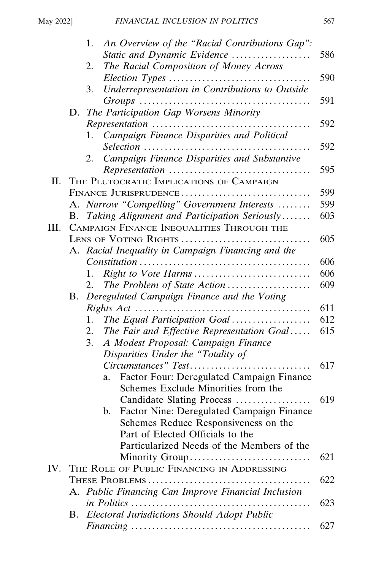|      | An Overview of the "Racial Contributions Gap":<br>1.                                            |     |
|------|-------------------------------------------------------------------------------------------------|-----|
|      | Static and Dynamic Evidence                                                                     | 586 |
|      | The Racial Composition of Money Across<br>2.                                                    | 590 |
|      | Underrepresentation in Contributions to Outside<br>3.                                           |     |
|      |                                                                                                 | 591 |
|      | D. The Participation Gap Worsens Minority                                                       |     |
|      | Representation                                                                                  | 592 |
|      | Campaign Finance Disparities and Political<br>1.                                                |     |
|      |                                                                                                 | 592 |
|      | Campaign Finance Disparities and Substantive<br>2.                                              |     |
|      |                                                                                                 | 595 |
|      | II. THE PLUTOCRATIC IMPLICATIONS OF CAMPAIGN                                                    |     |
|      | FINANCE JURISPRUDENCE                                                                           | 599 |
|      | A. Narrow "Compelling" Government Interests                                                     | 599 |
| III. | Taking Alignment and Participation Seriously<br>В.<br>CAMPAIGN FINANCE INEQUALITIES THROUGH THE | 603 |
|      | LENS OF VOTING RIGHTS                                                                           | 605 |
|      | A. Racial Inequality in Campaign Financing and the                                              |     |
|      |                                                                                                 | 606 |
|      | 1.                                                                                              | 606 |
|      | The Problem of State Action<br>2.                                                               | 609 |
|      | B. Deregulated Campaign Finance and the Voting                                                  |     |
|      |                                                                                                 | 611 |
|      | The Equal Participation Goal<br>1.                                                              | 612 |
|      | The Fair and Effective Representation Goal<br>2.                                                | 615 |
|      | 3.<br>A Modest Proposal: Campaign Finance                                                       |     |
|      | Disparities Under the "Totality of                                                              |     |
|      | Circumstances" Test                                                                             | 617 |
|      | Factor Four: Deregulated Campaign Finance<br>а.                                                 |     |
|      | Schemes Exclude Minorities from the                                                             |     |
|      | Candidate Slating Process                                                                       | 619 |
|      | Factor Nine: Deregulated Campaign Finance<br>b.<br>Schemes Reduce Responsiveness on the         |     |
|      | Part of Elected Officials to the                                                                |     |
|      | Particularized Needs of the Members of the                                                      |     |
|      | Minority Group                                                                                  | 621 |
| IV.  | THE ROLE OF PUBLIC FINANCING IN ADDRESSING                                                      |     |
|      | THESE PROBLEMS                                                                                  | 622 |
|      | A. Public Financing Can Improve Financial Inclusion                                             |     |
|      |                                                                                                 | 623 |
|      | B. Electoral Jurisdictions Should Adopt Public                                                  |     |
|      |                                                                                                 | 627 |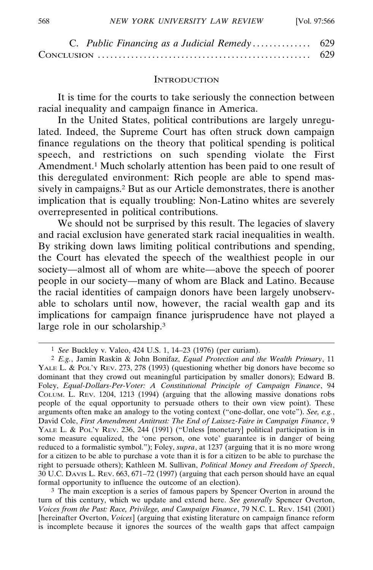#### **INTRODUCTION**

It is time for the courts to take seriously the connection between racial inequality and campaign finance in America.

In the United States, political contributions are largely unregulated. Indeed, the Supreme Court has often struck down campaign finance regulations on the theory that political spending is political speech, and restrictions on such spending violate the First Amendment.1 Much scholarly attention has been paid to one result of this deregulated environment: Rich people are able to spend massively in campaigns.2 But as our Article demonstrates, there is another implication that is equally troubling: Non-Latino whites are severely overrepresented in political contributions.

We should not be surprised by this result. The legacies of slavery and racial exclusion have generated stark racial inequalities in wealth. By striking down laws limiting political contributions and spending, the Court has elevated the speech of the wealthiest people in our society—almost all of whom are white—above the speech of poorer people in our society—many of whom are Black and Latino. Because the racial identities of campaign donors have been largely unobservable to scholars until now, however, the racial wealth gap and its implications for campaign finance jurisprudence have not played a large role in our scholarship.3

3 The main exception is a series of famous papers by Spencer Overton in around the turn of this century, which we update and extend here. *See generally* Spencer Overton, *Voices from the Past: Race, Privilege, and Campaign Finance*, 79 N.C. L. REV. 1541 (2001) [hereinafter Overton, *Voices*] (arguing that existing literature on campaign finance reform is incomplete because it ignores the sources of the wealth gaps that affect campaign

<sup>1</sup> *See* Buckley v. Valeo, 424 U.S. 1, 14–23 (1976) (per curiam).

<sup>2</sup> *E.g.*, Jamin Raskin & John Bonifaz, *Equal Protection and the Wealth Primary*, 11 YALE L. & POL'Y REV. 273, 278 (1993) (questioning whether big donors have become so dominant that they crowd out meaningful participation by smaller donors); Edward B. Foley, *Equal-Dollars-Per-Voter: A Constitutional Principle of Campaign Finance*, 94 COLUM. L. REV. 1204, 1213 (1994) (arguing that the allowing massive donations robs people of the equal opportunity to persuade others to their own view point). These arguments often make an analogy to the voting context ("one-dollar, one vote"). *See, e.g.*, David Cole, *First Amendment Antitrust: The End of Laissez-Faire in Campaign Finance*, 9 YALE L. & POL'Y REV. 236, 244 (1991) ("Unless [monetary] political participation is in some measure equalized, the 'one person, one vote' guarantee is in danger of being reduced to a formalistic symbol."); Foley, *supra*, at 1237 (arguing that it is no more wrong for a citizen to be able to purchase a vote than it is for a citizen to be able to purchase the right to persuade others); Kathleen M. Sullivan, *Political Money and Freedom of Speech*, 30 U.C. DAVIS L. REV. 663, 671–72 (1997) (arguing that each person should have an equal formal opportunity to influence the outcome of an election).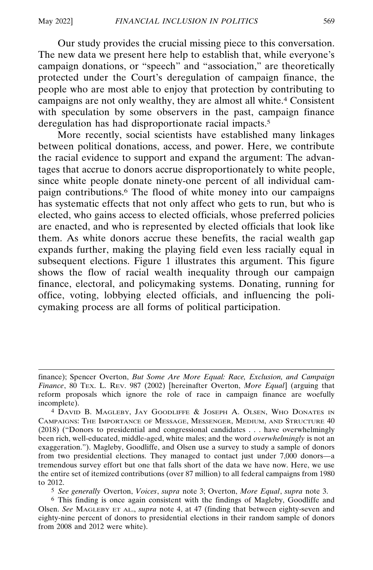Our study provides the crucial missing piece to this conversation. The new data we present here help to establish that, while everyone's campaign donations, or "speech" and "association," are theoretically protected under the Court's deregulation of campaign finance, the people who are most able to enjoy that protection by contributing to campaigns are not only wealthy, they are almost all white.4 Consistent with speculation by some observers in the past, campaign finance deregulation has had disproportionate racial impacts.<sup>5</sup>

More recently, social scientists have established many linkages between political donations, access, and power. Here, we contribute the racial evidence to support and expand the argument: The advantages that accrue to donors accrue disproportionately to white people, since white people donate ninety-one percent of all individual campaign contributions.6 The flood of white money into our campaigns has systematic effects that not only affect who gets to run, but who is elected, who gains access to elected officials, whose preferred policies are enacted, and who is represented by elected officials that look like them. As white donors accrue these benefits, the racial wealth gap expands further, making the playing field even less racially equal in subsequent elections. Figure 1 illustrates this argument. This figure shows the flow of racial wealth inequality through our campaign finance, electoral, and policymaking systems. Donating, running for office, voting, lobbying elected officials, and influencing the policymaking process are all forms of political participation.

5 *See generally* Overton, *Voices*, *supra* note 3; Overton, *More Equal*, *supra* note 3.

finance); Spencer Overton, *But Some Are More Equal: Race, Exclusion, and Campaign Finance*, 80 TEX. L. REV. 987 (2002) [hereinafter Overton, *More Equal*] (arguing that reform proposals which ignore the role of race in campaign finance are woefully incomplete).

<sup>4</sup> DAVID B. MAGLEBY, JAY GOODLIFFE & JOSEPH A. OLSEN, WHO DONATES IN CAMPAIGNS: THE IMPORTANCE OF MESSAGE, MESSENGER, MEDIUM, AND STRUCTURE 40 (2018) ("Donors to presidential and congressional candidates . . . have overwhelmingly been rich, well-educated, middle-aged, white males; and the word *overwhelmingly* is not an exaggeration."). Magleby, Goodliffe, and Olsen use a survey to study a sample of donors from two presidential elections. They managed to contact just under 7,000 donors—a tremendous survey effort but one that falls short of the data we have now. Here, we use the entire set of itemized contributions (over 87 million) to all federal campaigns from 1980 to 2012.

<sup>6</sup> This finding is once again consistent with the findings of Magleby, Goodliffe and Olsen. *See* MAGLEBY ET AL., *supra* note 4, at 47 (finding that between eighty-seven and eighty-nine percent of donors to presidential elections in their random sample of donors from 2008 and 2012 were white).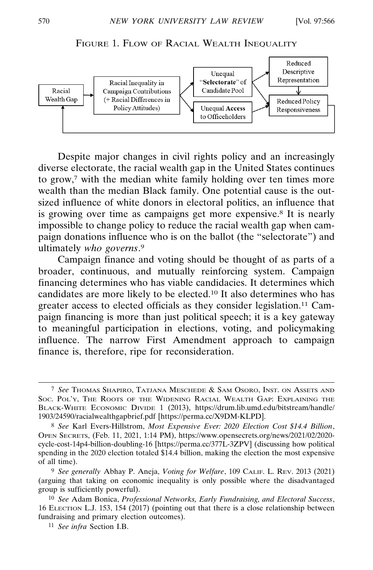



Despite major changes in civil rights policy and an increasingly diverse electorate, the racial wealth gap in the United States continues to grow,<sup>7</sup> with the median white family holding over ten times more wealth than the median Black family. One potential cause is the outsized influence of white donors in electoral politics, an influence that is growing over time as campaigns get more expensive.8 It is nearly impossible to change policy to reduce the racial wealth gap when campaign donations influence who is on the ballot (the "selectorate") and ultimately *who governs*. 9

Campaign finance and voting should be thought of as parts of a broader, continuous, and mutually reinforcing system. Campaign financing determines who has viable candidacies. It determines which candidates are more likely to be elected.10 It also determines who has greater access to elected officials as they consider legislation.11 Campaign financing is more than just political speech; it is a key gateway to meaningful participation in elections, voting, and policymaking influence. The narrow First Amendment approach to campaign finance is, therefore, ripe for reconsideration.

<sup>7</sup> *See* THOMAS SHAPIRO, TATJANA MESCHEDE & SAM OSORO, INST. ON ASSETS AND Soc. Pol'y, The Roots of the Widening Racial Wealth Gap: Explaining the BLACK-WHITE ECONOMIC DIVIDE 1 (2013), https://drum.lib.umd.edu/bitstream/handle/ 1903/24590/racialwealthgapbrief.pdf [https://perma.cc/X9DM-KLPD].

<sup>8</sup> *See* Karl Evers-Hillstrom, *Most Expensive Ever: 2020 Election Cost \$14.4 Billion*, OPEN SECRETS, (Feb. 11, 2021, 1:14 PM), https://www.opensecrets.org/news/2021/02/2020 cycle-cost-14p4-billion-doubling-16 [https://perma.cc/377L-3ZPV] (discussing how political spending in the 2020 election totaled \$14.4 billion, making the election the most expensive of all time).

<sup>9</sup> *See generally* Abhay P. Aneja, *Voting for Welfare*, 109 CALIF. L. REV. 2013 (2021) (arguing that taking on economic inequality is only possible where the disadvantaged group is sufficiently powerful).

<sup>10</sup> *See* Adam Bonica, *Professional Networks, Early Fundraising, and Electoral Success*, 16 ELECTION L.J. 153, 154 (2017) (pointing out that there is a close relationship between fundraising and primary election outcomes).

<sup>11</sup> *See infra* Section I.B.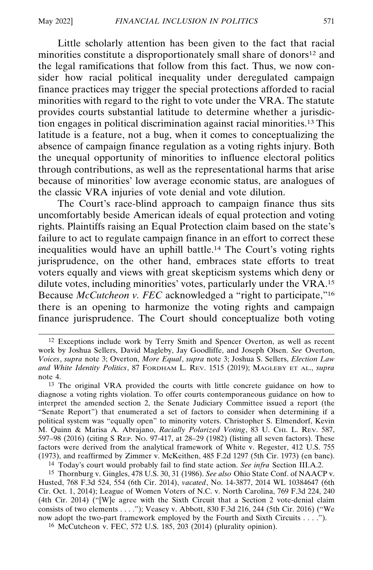Little scholarly attention has been given to the fact that racial minorities constitute a disproportionately small share of donors<sup>12</sup> and the legal ramifications that follow from this fact. Thus, we now consider how racial political inequality under deregulated campaign finance practices may trigger the special protections afforded to racial minorities with regard to the right to vote under the VRA. The statute provides courts substantial latitude to determine whether a jurisdiction engages in political discrimination against racial minorities.13 This latitude is a feature, not a bug, when it comes to conceptualizing the absence of campaign finance regulation as a voting rights injury. Both the unequal opportunity of minorities to influence electoral politics through contributions, as well as the representational harms that arise because of minorities' low average economic status, are analogues of the classic VRA injuries of vote denial and vote dilution.

The Court's race-blind approach to campaign finance thus sits uncomfortably beside American ideals of equal protection and voting rights. Plaintiffs raising an Equal Protection claim based on the state's failure to act to regulate campaign finance in an effort to correct these inequalities would have an uphill battle.14 The Court's voting rights jurisprudence, on the other hand, embraces state efforts to treat voters equally and views with great skepticism systems which deny or dilute votes, including minorities' votes, particularly under the VRA.15 Because *McCutcheon v. FEC* acknowledged a "right to participate,"16 there is an opening to harmonize the voting rights and campaign finance jurisprudence. The Court should conceptualize both voting

13 The original VRA provided the courts with little concrete guidance on how to diagnose a voting rights violation. To offer courts contemporaneous guidance on how to interpret the amended section 2, the Senate Judiciary Committee issued a report (the "Senate Report") that enumerated a set of factors to consider when determining if a political system was "equally open" to minority voters. Christopher S. Elmendorf, Kevin M. Quinn & Marisa A. Abrajano, *Racially Polarized Voting*, 83 U. CHI. L. REV. 587, 597–98 (2016) (citing S REP. NO. 97-417, at 28–29 (1982) (listing all seven factors). These factors were derived from the analytical framework of White v. Regester, 412 U.S. 755 (1973), and reaffirmed by Zimmer v. McKeithen, 485 F.2d 1297 (5th Cir. 1973) (en banc).

14 Today's court would probably fail to find state action. *See infra* Section III.A.2.

15 Thornburg v. Gingles, 478 U.S. 30, 31 (1986). *See also* Ohio State Conf. of NAACP v. Husted, 768 F.3d 524, 554 (6th Cir. 2014), *vacated*, No. 14-3877, 2014 WL 10384647 (6th Cir. Oct. 1, 2014); League of Women Voters of N.C. v. North Carolina, 769 F.3d 224, 240 (4th Cir. 2014) ("[W]e agree with the Sixth Circuit that a Section 2 vote-denial claim consists of two elements . . . ."); Veasey v. Abbott, 830 F.3d 216, 244 (5th Cir. 2016) ("We now adopt the two-part framework employed by the Fourth and Sixth Circuits . . . .").

16 McCutcheon v. FEC, 572 U.S. 185, 203 (2014) (plurality opinion).

<sup>12</sup> Exceptions include work by Terry Smith and Spencer Overton, as well as recent work by Joshua Sellers, David Magleby, Jay Goodliffe, and Joseph Olsen. *See* Overton, *Voices*, *supra* note 3; Overton, *More Equal*, *supra* note 3; Joshua S. Sellers, *Election Law and White Identity Politics*, 87 FORDHAM L. REV. 1515 (2019); MAGLEBY ET AL., *supra* note 4.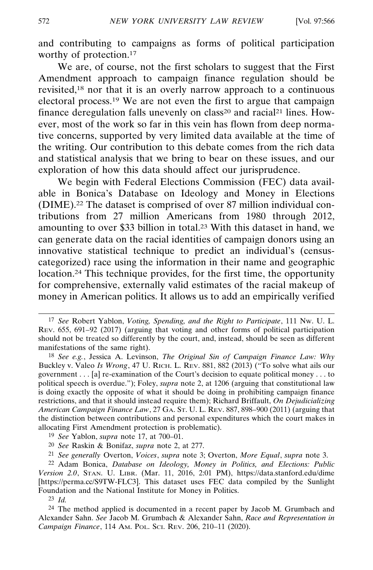and contributing to campaigns as forms of political participation worthy of protection.<sup>17</sup>

We are, of course, not the first scholars to suggest that the First Amendment approach to campaign finance regulation should be revisited,18 nor that it is an overly narrow approach to a continuous electoral process.19 We are not even the first to argue that campaign finance deregulation falls unevenly on class<sup>20</sup> and racial<sup>21</sup> lines. However, most of the work so far in this vein has flown from deep normative concerns, supported by very limited data available at the time of the writing. Our contribution to this debate comes from the rich data and statistical analysis that we bring to bear on these issues, and our exploration of how this data should affect our jurisprudence.

We begin with Federal Elections Commission (FEC) data available in Bonica's Database on Ideology and Money in Elections (DIME).22 The dataset is comprised of over 87 million individual contributions from 27 million Americans from 1980 through 2012, amounting to over \$33 billion in total.23 With this dataset in hand, we can generate data on the racial identities of campaign donors using an innovative statistical technique to predict an individual's (censuscategorized) race using the information in their name and geographic location.24 This technique provides, for the first time, the opportunity for comprehensive, externally valid estimates of the racial makeup of money in American politics. It allows us to add an empirically verified

18 *See e.g.*, Jessica A. Levinson, *The Original Sin of Campaign Finance Law: Why* Buckley v. Valeo *Is Wrong*, 47 U. RICH. L. REV. 881, 882 (2013) ("To solve what ails our government . . . [a] re-examination of the Court's decision to equate political money . . . to political speech is overdue."); Foley, *supra* note 2, at 1206 (arguing that constitutional law is doing exactly the opposite of what it should be doing in prohibiting campaign finance restrictions, and that it should instead require them); Richard Briffault, *On Dejudicializing American Campaign Finance Law*, 27 GA. ST. U. L. REV. 887, 898–900 (2011) (arguing that the distinction between contributions and personal expenditures which the court makes in allocating First Amendment protection is problematic).

19 *See* Yablon, *supra* note 17, at 700–01.

20 *See* Raskin & Bonifaz, *supra* note 2, at 277.

21 *See generally* Overton, *Voices*, *supra* note 3; Overton, *More Equal*, *supra* note 3.

22 Adam Bonica, *Database on Ideology, Money in Politics, and Elections: Public Version 2.0*, STAN. U. LIBR. (Mar. 11, 2016, 2:01 PM), https://data.stanford.edu/dime [https://perma.cc/S9TW-FLC3]. This dataset uses FEC data compiled by the Sunlight Foundation and the National Institute for Money in Politics.

23 *Id.*

24 The method applied is documented in a recent paper by Jacob M. Grumbach and Alexander Sahn. *See* Jacob M. Grumbach & Alexander Sahn, *Race and Representation in Campaign Finance*, 114 AM. POL. SCI. REV. 206, 210–11 (2020).

<sup>17</sup> *See* Robert Yablon, *Voting, Spending, and the Right to Participate*, 111 NW. U. L. REV. 655, 691–92 (2017) (arguing that voting and other forms of political participation should not be treated so differently by the court, and, instead, should be seen as different manifestations of the same right).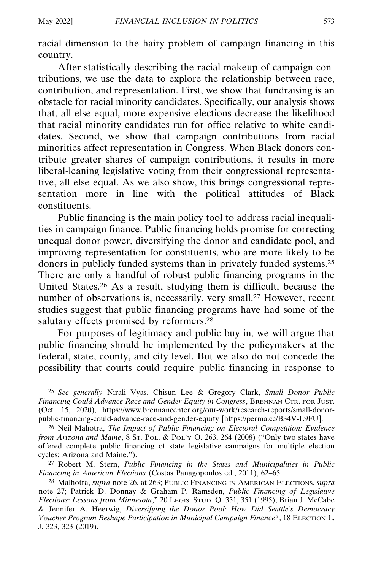racial dimension to the hairy problem of campaign financing in this country.

After statistically describing the racial makeup of campaign contributions, we use the data to explore the relationship between race, contribution, and representation. First, we show that fundraising is an obstacle for racial minority candidates. Specifically, our analysis shows that, all else equal, more expensive elections decrease the likelihood that racial minority candidates run for office relative to white candidates. Second, we show that campaign contributions from racial minorities affect representation in Congress. When Black donors contribute greater shares of campaign contributions, it results in more liberal-leaning legislative voting from their congressional representative, all else equal. As we also show, this brings congressional representation more in line with the political attitudes of Black constituents.

Public financing is the main policy tool to address racial inequalities in campaign finance. Public financing holds promise for correcting unequal donor power, diversifying the donor and candidate pool, and improving representation for constituents, who are more likely to be donors in publicly funded systems than in privately funded systems.25 There are only a handful of robust public financing programs in the United States.26 As a result, studying them is difficult, because the number of observations is, necessarily, very small.27 However, recent studies suggest that public financing programs have had some of the salutary effects promised by reformers.<sup>28</sup>

For purposes of legitimacy and public buy-in, we will argue that public financing should be implemented by the policymakers at the federal, state, county, and city level. But we also do not concede the possibility that courts could require public financing in response to

<sup>25</sup> *See generally* Nirali Vyas, Chisun Lee & Gregory Clark, *Small Donor Public Financing Could Advance Race and Gender Equity in Congress*, BRENNAN CTR. FOR JUST. (Oct. 15, 2020), https://www.brennancenter.org/our-work/research-reports/small-donorpublic-financing-could-advance-race-and-gender-equity [https://perma.cc/B34V-L9FU].

<sup>26</sup> Neil Mahotra, *The Impact of Public Financing on Electoral Competition: Evidence from Arizona and Maine*, 8 ST. POL. & POL'Y Q. 263, 264 (2008) ("Only two states have offered complete public financing of state legislative campaigns for multiple election cycles: Arizona and Maine.").

<sup>27</sup> Robert M. Stern, *Public Financing in the States and Municipalities in Public Financing in American Elections* (Costas Panagopoulos ed., 2011), 62–65.

<sup>28</sup> Malhotra, *supra* note 26, at 263; PUBLIC FINANCING IN AMERICAN ELECTIONS, *supra* note 27; Patrick D. Donnay & Graham P. Ramsden, *Public Financing of Legislative Elections: Lessons from Minnesota*," 20 LEGIS. STUD. Q. 351, 351 (1995); Brian J. McCabe & Jennifer A. Heerwig, *Diversifying the Donor Pool: How Did Seattle's Democracy Voucher Program Reshape Participation in Municipal Campaign Finance?*, 18 ELECTION L. J. 323, 323 (2019).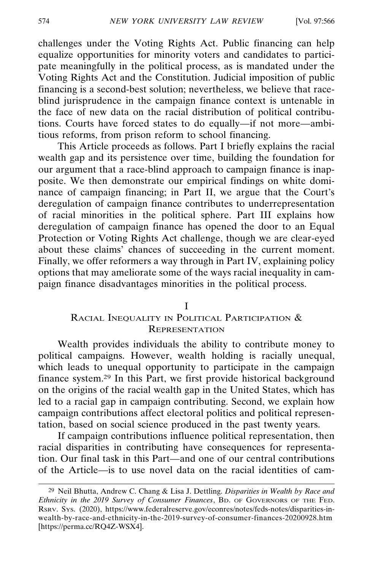challenges under the Voting Rights Act. Public financing can help equalize opportunities for minority voters and candidates to participate meaningfully in the political process, as is mandated under the Voting Rights Act and the Constitution. Judicial imposition of public financing is a second-best solution; nevertheless, we believe that raceblind jurisprudence in the campaign finance context is untenable in the face of new data on the racial distribution of political contributions. Courts have forced states to do equally—if not more—ambitious reforms, from prison reform to school financing.

This Article proceeds as follows. Part I briefly explains the racial wealth gap and its persistence over time, building the foundation for our argument that a race-blind approach to campaign finance is inapposite. We then demonstrate our empirical findings on white dominance of campaign financing; in Part II, we argue that the Court's deregulation of campaign finance contributes to underrepresentation of racial minorities in the political sphere. Part III explains how deregulation of campaign finance has opened the door to an Equal Protection or Voting Rights Act challenge, though we are clear-eyed about these claims' chances of succeeding in the current moment. Finally, we offer reformers a way through in Part IV, explaining policy options that may ameliorate some of the ways racial inequality in campaign finance disadvantages minorities in the political process.

### I

# RACIAL INEQUALITY IN POLITICAL PARTICIPATION & **REPRESENTATION**

Wealth provides individuals the ability to contribute money to political campaigns. However, wealth holding is racially unequal, which leads to unequal opportunity to participate in the campaign finance system.29 In this Part, we first provide historical background on the origins of the racial wealth gap in the United States, which has led to a racial gap in campaign contributing. Second, we explain how campaign contributions affect electoral politics and political representation, based on social science produced in the past twenty years.

If campaign contributions influence political representation, then racial disparities in contributing have consequences for representation. Our final task in this Part—and one of our central contributions of the Article—is to use novel data on the racial identities of cam-

<sup>29</sup> Neil Bhutta, Andrew C. Chang & Lisa J. Dettling. *Disparities in Wealth by Race and Ethnicity in the 2019 Survey of Consumer Finances*, BD. OF GOVERNORS OF THE FED. RSRV. SYS. (2020), https://www.federalreserve.gov/econres/notes/feds-notes/disparities-inwealth-by-race-and-ethnicity-in-the-2019-survey-of-consumer-finances-20200928.htm [https://perma.cc/RQ4Z-WSX4].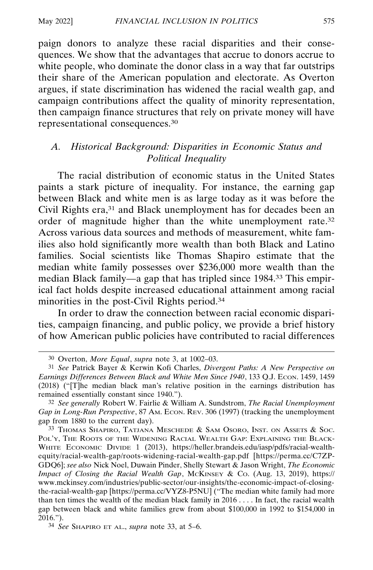paign donors to analyze these racial disparities and their consequences. We show that the advantages that accrue to donors accrue to white people, who dominate the donor class in a way that far outstrips their share of the American population and electorate. As Overton argues, if state discrimination has widened the racial wealth gap, and campaign contributions affect the quality of minority representation, then campaign finance structures that rely on private money will have representational consequences.30

# *A. Historical Background: Disparities in Economic Status and Political Inequality*

The racial distribution of economic status in the United States paints a stark picture of inequality. For instance, the earning gap between Black and white men is as large today as it was before the Civil Rights era,<sup>31</sup> and Black unemployment has for decades been an order of magnitude higher than the white unemployment rate.32 Across various data sources and methods of measurement, white families also hold significantly more wealth than both Black and Latino families. Social scientists like Thomas Shapiro estimate that the median white family possesses over \$236,000 more wealth than the median Black family—a gap that has tripled since 1984.33 This empirical fact holds despite increased educational attainment among racial minorities in the post-Civil Rights period.34

In order to draw the connection between racial economic disparities, campaign financing, and public policy, we provide a brief history of how American public policies have contributed to racial differences

33 THOMAS SHAPIRO, TATJANA MESCHEDE & SAM OSORO, INST. ON ASSETS & SOC. POL'Y, THE ROOTS OF THE WIDENING RACIAL WEALTH GAP: EXPLAINING THE BLACK-WHITE ECONOMIC DIVIDE 1 (2013), https://heller.brandeis.edu/iasp/pdfs/racial-wealthequity/racial-wealth-gap/roots-widening-racial-wealth-gap.pdf [https://perma.cc/C7ZP-GDQ6]; *see also* Nick Noel, Duwain Pinder, Shelly Stewart & Jason Wright, *The Economic Impact of Closing the Racial Wealth Gap*, MCKINSEY & CO. (Aug. 13, 2019), https:// www.mckinsey.com/industries/public-sector/our-insights/the-economic-impact-of-closingthe-racial-wealth-gap [https://perma.cc/VYZ8-P5NU] ("The median white family had more than ten times the wealth of the median black family in 2016 . . . . In fact, the racial wealth gap between black and white families grew from about \$100,000 in 1992 to \$154,000 in 2016.").

34 *See* SHAPIRO ET AL., *supra* note 33, at 5–6.

<sup>30</sup> Overton, *More Equal*, *supra* note 3, at 1002–03.

<sup>31</sup> *See* Patrick Bayer & Kerwin Kofi Charles, *Divergent Paths: A New Perspective on Earnings Differences Between Black and White Men Since 1940*, 133 Q.J. ECON. 1459, 1459 (2018) ("[T]he median black man's relative position in the earnings distribution has remained essentially constant since 1940.").

<sup>32</sup> *See generally* Robert W. Fairlie & William A. Sundstrom, *The Racial Unemployment Gap in Long-Run Perspective*, 87 AM. ECON. REV. 306 (1997) (tracking the unemployment gap from 1880 to the current day).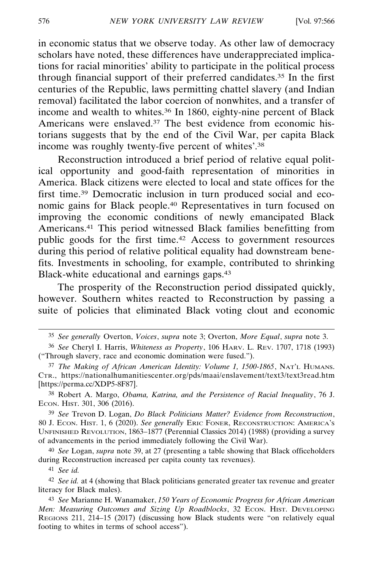in economic status that we observe today. As other law of democracy scholars have noted, these differences have underappreciated implications for racial minorities' ability to participate in the political process through financial support of their preferred candidates.35 In the first centuries of the Republic, laws permitting chattel slavery (and Indian removal) facilitated the labor coercion of nonwhites, and a transfer of income and wealth to whites.<sup>36</sup> In 1860, eighty-nine percent of Black Americans were enslaved.37 The best evidence from economic historians suggests that by the end of the Civil War, per capita Black income was roughly twenty-five percent of whites'.38

Reconstruction introduced a brief period of relative equal political opportunity and good-faith representation of minorities in America. Black citizens were elected to local and state offices for the first time.39 Democratic inclusion in turn produced social and economic gains for Black people.40 Representatives in turn focused on improving the economic conditions of newly emancipated Black Americans.41 This period witnessed Black families benefitting from public goods for the first time.42 Access to government resources during this period of relative political equality had downstream benefits. Investments in schooling, for example, contributed to shrinking Black-white educational and earnings gaps.43

The prosperity of the Reconstruction period dissipated quickly, however. Southern whites reacted to Reconstruction by passing a suite of policies that eliminated Black voting clout and economic

38 Robert A. Margo, *Obama, Katrina, and the Persistence of Racial Inequality*, 76 J. ECON. HIST. 301, 306 (2016).

39 *See* Trevon D. Logan, *Do Black Politicians Matter? Evidence from Reconstruction*, 80 J. ECON. HIST. 1, 6 (2020). *See generally* ERIC FONER, RECONSTRUCTION: AMERICA'S UNFINISHED REVOLUTION, 1863–1877 (Perennial Classics 2014) (1988) (providing a survey of advancements in the period immediately following the Civil War).

40 *See* Logan, *supra* note 39, at 27 (presenting a table showing that Black officeholders during Reconstruction increased per capita county tax revenues).

41 *See id.*

42 *See id.* at 4 (showing that Black politicians generated greater tax revenue and greater literacy for Black males).

<sup>35</sup> *See generally* Overton, *Voices*, *supra* note 3; Overton, *More Equal*, *supra* note 3.

<sup>36</sup> *See* Cheryl I. Harris, *Whiteness as Property*, 106 HARV. L. REV. 1707, 1718 (1993) ("Through slavery, race and economic domination were fused.").

<sup>37</sup> *The Making of African American Identity: Volume 1, 1500-1865*, NAT'L HUMANS. CTR., https://nationalhumanitiescenter.org/pds/maai/enslavement/text3/text3read.htm [https://perma.cc/XDP5-8F87].

<sup>43</sup> *See* Marianne H. Wanamaker, *150 Years of Economic Progress for African American Men: Measuring Outcomes and Sizing Up Roadblocks*, 32 ECON. HIST. DEVELOPING REGIONS 211, 214–15 (2017) (discussing how Black students were "on relatively equal footing to whites in terms of school access").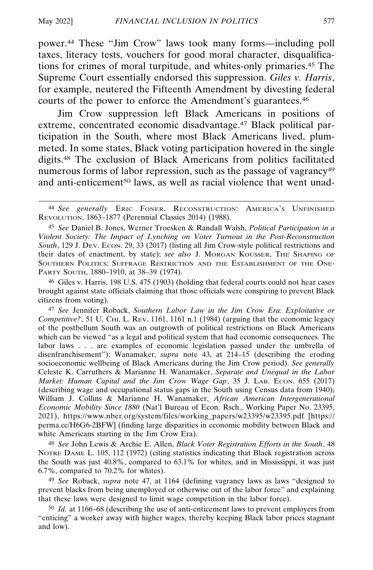power.44 These "Jim Crow" laws took many forms—including poll taxes, literacy tests, vouchers for good moral character, disqualifications for crimes of moral turpitude, and whites-only primaries.45 The Supreme Court essentially endorsed this suppression. *Giles v. Harris*, for example, neutered the Fifteenth Amendment by divesting federal courts of the power to enforce the Amendment's guarantees.<sup>46</sup>

Jim Crow suppression left Black Americans in positions of extreme, concentrated economic disadvantage.47 Black political participation in the South, where most Black Americans lived, plummeted. In some states, Black voting participation hovered in the single digits.48 The exclusion of Black Americans from politics facilitated numerous forms of labor repression, such as the passage of vagrancy<sup>49</sup> and anti-enticement<sup>50</sup> laws, as well as racial violence that went unad-

46 Giles v. Harris, 198 U.S. 475 (1903) (holding that federal courts could not hear cases brought against state officials claiming that those officials were conspiring to prevent Black citizens from voting).

47 *See* Jennifer Roback, *Southern Labor Law in the Jim Crow Era: Exploitative or Competitive?*, 51 U. CHI. L. REV. 1161, 1161 n.1 (1984) (arguing that the economic legacy of the postbellum South was an outgrowth of political restrictions on Black Americans which can be viewed "as a legal and political system that had economic consequences. The labor laws . . . are examples of economic legislation passed under the umbrella of disenfranchisement"); Wanamaker, *supra* note 43, at 214–15 (describing the eroding socioeconomic wellbeing of Black Americans during the Jim Crow period). *See generally* Celeste K. Carruthers & Marianne H. Wanamaker, *Separate and Unequal in the Labor Market: Human Capital and the Jim Crow Wage Gap*, 35 J. LAB. ECON. 655 (2017) (describing wage and occupational status gaps in the South using Census data from 1940); William J. Collins & Marianne H. Wanamaker, *African American Intergenerational Economic Mobility Since 1880* (Nat'l Bureau of Econ. Rsch., Working Paper No. 23395, 2021), https://www.nber.org/system/files/working\_papers/w23395/w23395.pdf [https:// perma.cc/H6G6-2BFW] (finding large disparities in economic mobility between Black and white Americans starting in the Jim Crow Era).

48 *See* John Lewis & Archie E. Allen, *Black Voter Registration Efforts in the South*, 48 NOTRE DAME L. 105, 112 (1972) (citing statistics indicating that Black registration across the South was just 40.8%, compared to 63.1% for whites, and in Mississippi, it was just 6.7%, compared to 70.2% for whites).

49 *See* Roback, *supra* note 47, at 1164 (defining vagrancy laws as laws "designed to prevent blacks from being unemployed or otherwise out of the labor force" and explaining that these laws were designed to limit wage competition in the labor force).

50 *Id.* at 1166–68 (describing the use of anti-enticement laws to prevent employers from "enticing" a worker away with higher wages, thereby keeping Black labor prices stagnant and low).

<sup>44</sup> *See generally* ERIC FONER, RECONSTRUCTION: AMERICA'S UNFINISHED REVOLUTION, 1863–1877 (Perennial Classics 2014) (1988).

<sup>45</sup> *See* Daniel B. Jones, Werner Troesken & Randall Walsh, *Political Participation in a Violent Society: The Impact of Lynching on Voter Turnout in the Post-Reconstruction South*, 129 J. DEV. ECON. 29, 33 (2017) (listing all Jim Crow-style political restrictions and their dates of enactment, by state); *see also* J. MORGAN KOUSSER, THE SHAPING OF SOUTHERN POLITICS: SUFFRAGE RESTRICTION AND THE ESTABLISHMENT OF THE ONE-PARTY SOUTH, 1880–1910, at 38–39 (1974).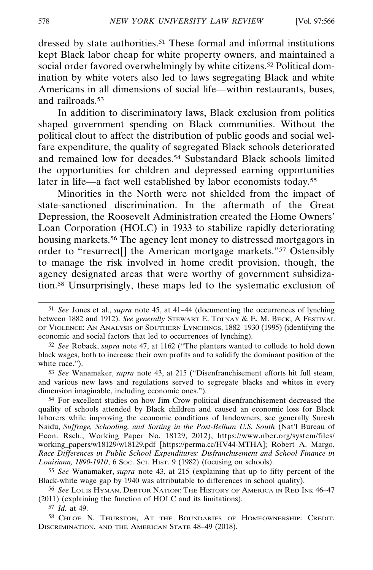dressed by state authorities.51 These formal and informal institutions kept Black labor cheap for white property owners, and maintained a social order favored overwhelmingly by white citizens.<sup>52</sup> Political domination by white voters also led to laws segregating Black and white Americans in all dimensions of social life—within restaurants, buses, and railroads.53

In addition to discriminatory laws, Black exclusion from politics shaped government spending on Black communities. Without the political clout to affect the distribution of public goods and social welfare expenditure, the quality of segregated Black schools deteriorated and remained low for decades.54 Substandard Black schools limited the opportunities for children and depressed earning opportunities later in life—a fact well established by labor economists today.55

Minorities in the North were not shielded from the impact of state-sanctioned discrimination. In the aftermath of the Great Depression, the Roosevelt Administration created the Home Owners' Loan Corporation (HOLC) in 1933 to stabilize rapidly deteriorating housing markets.<sup>56</sup> The agency lent money to distressed mortgagors in order to "resurrect[] the American mortgage markets."57 Ostensibly to manage the risk involved in home credit provision, though, the agency designated areas that were worthy of government subsidization.58 Unsurprisingly, these maps led to the systematic exclusion of

54 For excellent studies on how Jim Crow political disenfranchisement decreased the quality of schools attended by Black children and caused an economic loss for Black laborers while improving the economic conditions of landowners, see generally Suresh Naidu, *Suffrage, Schooling, and Sorting in the Post-Bellum U.S. South* (Nat'l Bureau of Econ. Rsch., Working Paper No. 18129, 2012), https://www.nber.org/system/files/ working\_papers/w18129/w18129.pdf [https://perma.cc/HV44-MTHA]; Robert A. Margo, *Race Differences in Public School Expenditures: Disfranchisement and School Finance in Louisiana, 1890-1910*, 6 SOC. SCI. HIST. 9 (1982) (focusing on schools).

55 *See* Wanamaker, *supra* note 43, at 215 (explaining that up to fifty percent of the Black-white wage gap by 1940 was attributable to differences in school quality).

56 *See* LOUIS HYMAN, DEBTOR NATION: THE HISTORY OF AMERICA IN RED INK 46–47 (2011) (explaining the function of HOLC and its limitations).

57 *Id.* at 49.

58 CHLOE N. THURSTON, AT THE BOUNDARIES OF HOMEOWNERSHIP: CREDIT, DISCRIMINATION, AND THE AMERICAN STATE 48–49 (2018).

<sup>51</sup> *See* Jones et al., *supra* note 45, at 41–44 (documenting the occurrences of lynching between 1882 and 1912). *See generally* STEWART E. TOLNAY & E. M. BECK, A FESTIVAL OF VIOLENCE: AN ANALYSIS OF SOUTHERN LYNCHINGS, 1882–1930 (1995) (identifying the economic and social factors that led to occurrences of lynching).

<sup>52</sup> *See* Roback, *supra* note 47, at 1162 ("The planters wanted to collude to hold down black wages, both to increase their own profits and to solidify the dominant position of the white race.").

<sup>53</sup> *See* Wanamaker, *supra* note 43, at 215 ("Disenfranchisement efforts hit full steam, and various new laws and regulations served to segregate blacks and whites in every dimension imaginable, including economic ones.").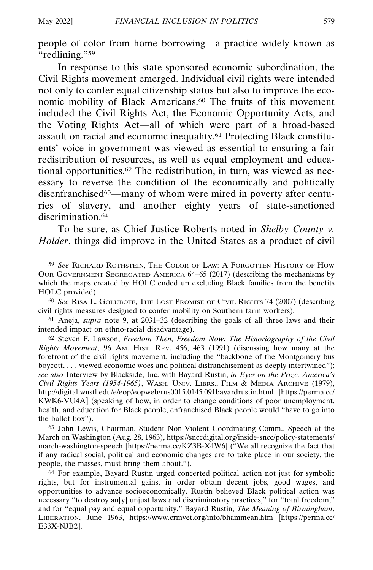people of color from home borrowing—a practice widely known as "redlining."59

In response to this state-sponsored economic subordination, the Civil Rights movement emerged. Individual civil rights were intended not only to confer equal citizenship status but also to improve the economic mobility of Black Americans.60 The fruits of this movement included the Civil Rights Act, the Economic Opportunity Acts, and the Voting Rights Act—all of which were part of a broad-based assault on racial and economic inequality.61 Protecting Black constituents' voice in government was viewed as essential to ensuring a fair redistribution of resources, as well as equal employment and educational opportunities.<sup>62</sup> The redistribution, in turn, was viewed as necessary to reverse the condition of the economically and politically disenfranchised<sup>63</sup>—many of whom were mired in poverty after centuries of slavery, and another eighty years of state-sanctioned discrimination.64

To be sure, as Chief Justice Roberts noted in *Shelby County v. Holder*, things did improve in the United States as a product of civil

61 Aneja, *supra* note 9, at 2031–32 (describing the goals of all three laws and their intended impact on ethno-racial disadvantage).

62 Steven F. Lawson, *Freedom Then, Freedom Now: The Historiography of the Civil Rights Movement*, 96 AM. HIST. REV. 456, 463 (1991) (discussing how many at the forefront of the civil rights movement, including the "backbone of the Montgomery bus boycott, . . . viewed economic woes and political disfranchisement as deeply intertwined"); *see also* Interview by Blackside, Inc. with Bayard Rustin, *in Eyes on the Prize: America's Civil Rights Years (1954-1965)*, WASH. UNIV. LIBRS., FILM & MEDIA ARCHIVE (1979), http://digital.wustl.edu/e/eop/eopweb/rus0015.0145.091bayardrustin.html [https://perma.cc/ KWK6-VU4A] (speaking of how, in order to change conditions of poor unemployment, health, and education for Black people, enfranchised Black people would "have to go into the ballot box").

63 John Lewis, Chairman, Student Non-Violent Coordinating Comm., Speech at the March on Washington (Aug. 28, 1963), https://snccdigital.org/inside-sncc/policy-statements/ march-washington-speech [https://perma.cc/KZ3B-X4W6] ("We all recognize the fact that if any radical social, political and economic changes are to take place in our society, the people, the masses, must bring them about.").

64 For example, Bayard Rustin urged concerted political action not just for symbolic rights, but for instrumental gains, in order obtain decent jobs, good wages, and opportunities to advance socioeconomically. Rustin believed Black political action was necessary "to destroy an[y] unjust laws and discriminatory practices," for "total freedom," and for "equal pay and equal opportunity." Bayard Rustin, *The Meaning of Birmingham*, LIBERATION, June 1963, https://www.crmvet.org/info/bhammean.htm [https://perma.cc/ E33X-NJB2].

<sup>59</sup> *See* RICHARD ROTHSTEIN, THE COLOR OF LAW: A FORGOTTEN HISTORY OF HOW OUR GOVERNMENT SEGREGATED AMERICA 64–65 (2017) (describing the mechanisms by which the maps created by HOLC ended up excluding Black families from the benefits HOLC provided).

<sup>60</sup> *See* RISA L. GOLUBOFF, THE LOST PROMISE OF CIVIL RIGHTS 74 (2007) (describing civil rights measures designed to confer mobility on Southern farm workers).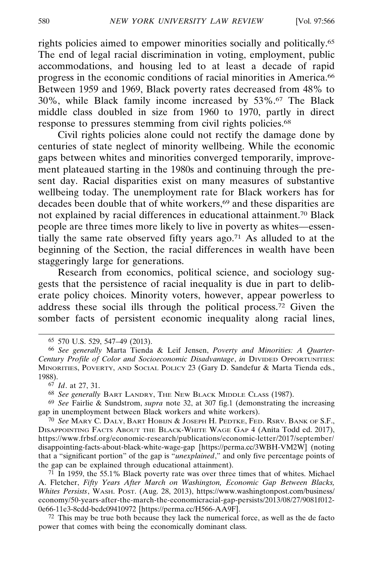rights policies aimed to empower minorities socially and politically.65 The end of legal racial discrimination in voting, employment, public accommodations, and housing led to at least a decade of rapid progress in the economic conditions of racial minorities in America.66 Between 1959 and 1969, Black poverty rates decreased from 48% to 30%, while Black family income increased by 53%.67 The Black middle class doubled in size from 1960 to 1970, partly in direct response to pressures stemming from civil rights policies.<sup>68</sup>

Civil rights policies alone could not rectify the damage done by centuries of state neglect of minority wellbeing. While the economic gaps between whites and minorities converged temporarily, improvement plateaued starting in the 1980s and continuing through the present day. Racial disparities exist on many measures of substantive wellbeing today. The unemployment rate for Black workers has for decades been double that of white workers,<sup>69</sup> and these disparities are not explained by racial differences in educational attainment.70 Black people are three times more likely to live in poverty as whites—essentially the same rate observed fifty years ago.71 As alluded to at the beginning of the Section, the racial differences in wealth have been staggeringly large for generations.

Research from economics, political science, and sociology suggests that the persistence of racial inequality is due in part to deliberate policy choices. Minority voters, however, appear powerless to address these social ills through the political process.72 Given the somber facts of persistent economic inequality along racial lines,

68 *See generally* BART LANDRY, THE NEW BLACK MIDDLE CLASS (1987).

69 *See* Fairlie & Sundstrom, *supra* note 32, at 307 fig.1 (demonstrating the increasing gap in unemployment between Black workers and white workers).

70 *See* MARY C. DALY, BART HOBIJN & JOSEPH H. PEDTKE, FED. RSRV. BANK OF S.F., DISAPPOINTING FACTS ABOUT THE BLACK-WHITE WAGE GAP 4 (Anita Todd ed. 2017), https://www.frbsf.org/economic-research/publications/economic-letter/2017/september/ disappointing-facts-about-black-white-wage-gap [https://perma.cc/3WBH-VM2W] (noting that a "significant portion" of the gap is "*unexplained*," and only five percentage points of the gap can be explained through educational attainment).

 $71$  In 1959, the 55.1% Black poverty rate was over three times that of whites. Michael A. Fletcher, *Fifty Years After March on Washington, Economic Gap Between Blacks, Whites Persists*, WASH. POST. (Aug. 28, 2013), https://www.washingtonpost.com/business/ economy/50-years-after-the-march-the-economicracial-gap-persists/2013/08/27/9081f012- 0e66-11e3-8cdd-bcdc09410972 [https://perma.cc/H566-AA9F].

 $72$  This may be true both because they lack the numerical force, as well as the de facto power that comes with being the economically dominant class.

<sup>65</sup> 570 U.S. 529, 547–49 (2013).

<sup>66</sup> *See generally* Marta Tienda & Leif Jensen, *Poverty and Minorities: A Quarter-Century Profile of Color and Socioeconomic Disadvantage*, *in* DIVIDED OPPORTUNITIES: MINORITIES, POVERTY, AND SOCIAL POLICY 23 (Gary D. Sandefur & Marta Tienda eds., 1988).

<sup>67</sup> *Id*. at 27, 31.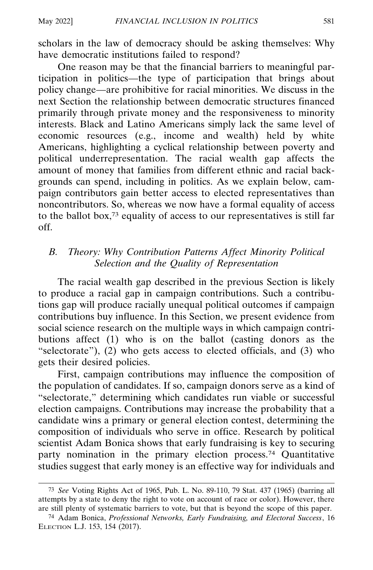scholars in the law of democracy should be asking themselves: Why have democratic institutions failed to respond?

One reason may be that the financial barriers to meaningful participation in politics—the type of participation that brings about policy change—are prohibitive for racial minorities. We discuss in the next Section the relationship between democratic structures financed primarily through private money and the responsiveness to minority interests. Black and Latino Americans simply lack the same level of economic resources (e.g., income and wealth) held by white Americans, highlighting a cyclical relationship between poverty and political underrepresentation. The racial wealth gap affects the amount of money that families from different ethnic and racial backgrounds can spend, including in politics. As we explain below, campaign contributors gain better access to elected representatives than noncontributors. So, whereas we now have a formal equality of access to the ballot box,73 equality of access to our representatives is still far off.

# *B. Theory: Why Contribution Patterns Affect Minority Political Selection and the Quality of Representation*

The racial wealth gap described in the previous Section is likely to produce a racial gap in campaign contributions. Such a contributions gap will produce racially unequal political outcomes if campaign contributions buy influence. In this Section, we present evidence from social science research on the multiple ways in which campaign contributions affect (1) who is on the ballot (casting donors as the "selectorate"),  $(2)$  who gets access to elected officials, and  $(3)$  who gets their desired policies.

First, campaign contributions may influence the composition of the population of candidates. If so, campaign donors serve as a kind of "selectorate," determining which candidates run viable or successful election campaigns. Contributions may increase the probability that a candidate wins a primary or general election contest, determining the composition of individuals who serve in office. Research by political scientist Adam Bonica shows that early fundraising is key to securing party nomination in the primary election process.74 Quantitative studies suggest that early money is an effective way for individuals and

<sup>73</sup> *See* Voting Rights Act of 1965, Pub. L. No. 89-110, 79 Stat. 437 (1965) (barring all attempts by a state to deny the right to vote on account of race or color). However, there are still plenty of systematic barriers to vote, but that is beyond the scope of this paper.

<sup>74</sup> Adam Bonica, *Professional Networks, Early Fundraising, and Electoral Success*, 16 ELECTION L.J. 153, 154 (2017).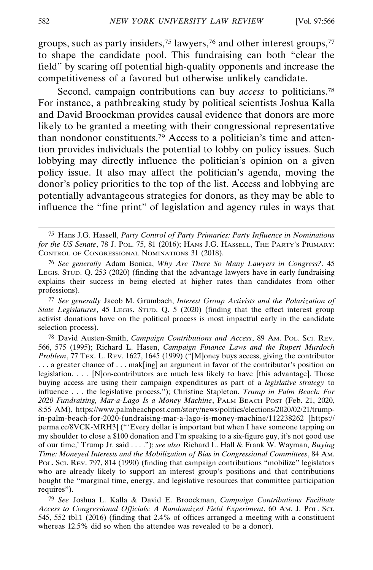groups, such as party insiders,  $75$  lawyers,  $76$  and other interest groups,  $77$ to shape the candidate pool. This fundraising can both "clear the field" by scaring off potential high-quality opponents and increase the competitiveness of a favored but otherwise unlikely candidate.

Second, campaign contributions can buy *access* to politicians.78 For instance, a pathbreaking study by political scientists Joshua Kalla and David Broockman provides causal evidence that donors are more likely to be granted a meeting with their congressional representative than nondonor constituents.79 Access to a politician's time and attention provides individuals the potential to lobby on policy issues. Such lobbying may directly influence the politician's opinion on a given policy issue. It also may affect the politician's agenda, moving the donor's policy priorities to the top of the list. Access and lobbying are potentially advantageous strategies for donors, as they may be able to influence the "fine print" of legislation and agency rules in ways that

77 *See generally* Jacob M. Grumbach, *Interest Group Activists and the Polarization of State Legislatures*, 45 LEGIS. STUD. Q. 5 (2020) (finding that the effect interest group activist donations have on the political process is most impactful early in the candidate selection process).

78 David Austen-Smith, *Campaign Contributions and Access*, 89 AM. POL. SCI. REV. 566, 575 (1995); Richard L. Hasen, *Campaign Finance Laws and the Rupert Murdoch Problem*, 77 TEX. L. REV. 1627, 1645 (1999) ("[M]oney buys access, giving the contributor . . . a greater chance of . . . mak[ing] an argument in favor of the contributor's position on legislation. . . . [N]on-contributors are much less likely to have [this advantage]. Those buying access are using their campaign expenditures as part of a *legislative strategy* to influence . . . the legislative process."); Christine Stapleton, *Trump in Palm Beach: For 2020 Fundraising, Mar-a-Lago Is a Money Machine*, PALM BEACH POST (Feb. 21, 2020, 8:55 AM), https://www.palmbeachpost.com/story/news/politics/elections/2020/02/21/trumpin-palm-beach-for-2020-fundraising-mar-a-lago-is-money-machine/112238262 [https:// perma.cc/8VCK-MRH3] ("'Every dollar is important but when I have someone tapping on my shoulder to close a \$100 donation and I'm speaking to a six-figure guy, it's not good use of our time,' Trump Jr. said . . . ."); *see also* Richard L. Hall & Frank W. Wayman, *Buying Time: Moneyed Interests and the Mobilization of Bias in Congressional Committees*, 84 AM. POL. SCI. REV. 797, 814 (1990) (finding that campaign contributions "mobilize" legislators who are already likely to support an interest group's positions and that contributions bought the "marginal time, energy, and legislative resources that committee participation requires").

79 *See* Joshua L. Kalla & David E. Broockman, *Campaign Contributions Facilitate Access to Congressional Officials: A Randomized Field Experiment*, 60 AM. J. POL. SCI. 545, 552 tbl.1 (2016) (finding that 2.4% of offices arranged a meeting with a constituent whereas 12.5% did so when the attendee was revealed to be a donor).

<sup>75</sup> Hans J.G. Hassell, *Party Control of Party Primaries: Party Influence in Nominations for the US Senate*, 78 J. POL. 75, 81 (2016); HANS J.G. HASSELL, THE PARTY'S PRIMARY: CONTROL OF CONGRESSIONAL NOMINATIONS 31 (2018).

<sup>76</sup> *See generally* Adam Bonica, *Why Are There So Many Lawyers in Congress?*, 45 LEGIS. STUD. Q. 253 (2020) (finding that the advantage lawyers have in early fundraising explains their success in being elected at higher rates than candidates from other professions).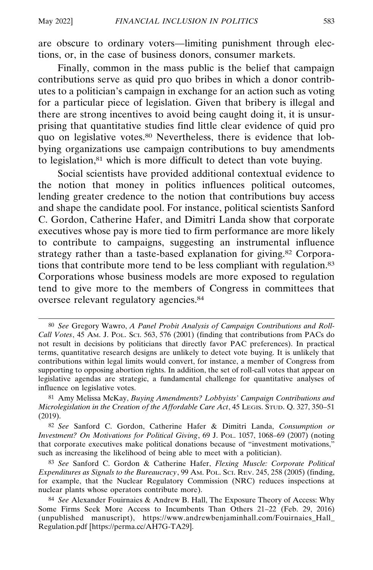are obscure to ordinary voters—limiting punishment through elections, or, in the case of business donors, consumer markets.

Finally, common in the mass public is the belief that campaign contributions serve as quid pro quo bribes in which a donor contributes to a politician's campaign in exchange for an action such as voting for a particular piece of legislation. Given that bribery is illegal and there are strong incentives to avoid being caught doing it, it is unsurprising that quantitative studies find little clear evidence of quid pro quo on legislative votes.<sup>80</sup> Nevertheless, there is evidence that lobbying organizations use campaign contributions to buy amendments to legislation,<sup>81</sup> which is more difficult to detect than vote buying.

Social scientists have provided additional contextual evidence to the notion that money in politics influences political outcomes, lending greater credence to the notion that contributions buy access and shape the candidate pool. For instance, political scientists Sanford C. Gordon, Catherine Hafer, and Dimitri Landa show that corporate executives whose pay is more tied to firm performance are more likely to contribute to campaigns, suggesting an instrumental influence strategy rather than a taste-based explanation for giving.82 Corporations that contribute more tend to be less compliant with regulation.83 Corporations whose business models are more exposed to regulation tend to give more to the members of Congress in committees that oversee relevant regulatory agencies.84

<sup>80</sup> *See* Gregory Wawro, *A Panel Probit Analysis of Campaign Contributions and Roll-Call Votes*, 45 AM. J. POL. SCI. 563, 576 (2001) (finding that contributions from PACs do not result in decisions by politicians that directly favor PAC preferences). In practical terms, quantitative research designs are unlikely to detect vote buying. It is unlikely that contributions within legal limits would convert, for instance, a member of Congress from supporting to opposing abortion rights. In addition, the set of roll-call votes that appear on legislative agendas are strategic, a fundamental challenge for quantitative analyses of influence on legislative votes.

<sup>81</sup> Amy Melissa McKay, *Buying Amendments? Lobbyists' Campaign Contributions and Microlegislation in the Creation of the Affordable Care Act*, 45 LEGIS. STUD. Q. 327, 350–51 (2019).

<sup>82</sup> *See* Sanford C. Gordon, Catherine Hafer & Dimitri Landa, *Consumption or Investment? On Motivations for Political Giving*, 69 J. POL. 1057, 1068–69 (2007) (noting that corporate executives make political donations because of "investment motivations," such as increasing the likelihood of being able to meet with a politician).

<sup>83</sup> *See* Sanford C. Gordon & Catherine Hafer, *Flexing Muscle: Corporate Political Expenditures as Signals to the Bureaucracy*, 99 AM. POL. SCI. REV. 245, 258 (2005) (finding, for example, that the Nuclear Regulatory Commission (NRC) reduces inspections at nuclear plants whose operators contribute more).

<sup>84</sup> *See* Alexander Fouirnaies & Andrew B. Hall, The Exposure Theory of Access: Why Some Firms Seek More Access to Incumbents Than Others 21–22 (Feb. 29, 2016) (unpublished manuscript), https://www.andrewbenjaminhall.com/Fouirnaies\_Hall\_ Regulation.pdf [https://perma.cc/AH7G-TA29].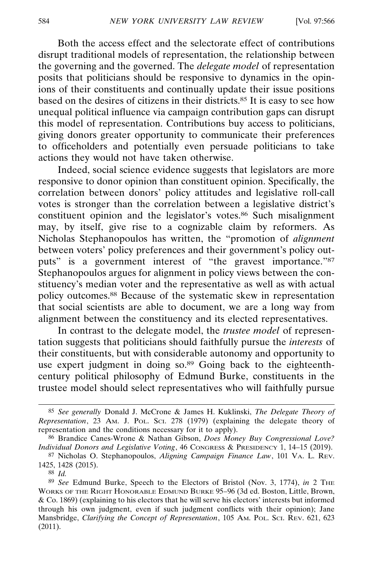Both the access effect and the selectorate effect of contributions disrupt traditional models of representation, the relationship between the governing and the governed. The *delegate model* of representation posits that politicians should be responsive to dynamics in the opinions of their constituents and continually update their issue positions based on the desires of citizens in their districts.85 It is easy to see how unequal political influence via campaign contribution gaps can disrupt this model of representation. Contributions buy access to politicians, giving donors greater opportunity to communicate their preferences to officeholders and potentially even persuade politicians to take actions they would not have taken otherwise.

Indeed, social science evidence suggests that legislators are more responsive to donor opinion than constituent opinion. Specifically, the correlation between donors' policy attitudes and legislative roll-call votes is stronger than the correlation between a legislative district's constituent opinion and the legislator's votes.86 Such misalignment may, by itself, give rise to a cognizable claim by reformers. As Nicholas Stephanopoulos has written, the "promotion of *alignment* between voters' policy preferences and their government's policy outputs" is a government interest of "the gravest importance."<sup>87</sup> Stephanopoulos argues for alignment in policy views between the constituency's median voter and the representative as well as with actual policy outcomes.88 Because of the systematic skew in representation that social scientists are able to document, we are a long way from alignment between the constituency and its elected representatives.

In contrast to the delegate model, the *trustee model* of representation suggests that politicians should faithfully pursue the *interests* of their constituents, but with considerable autonomy and opportunity to use expert judgment in doing so.<sup>89</sup> Going back to the eighteenthcentury political philosophy of Edmund Burke, constituents in the trustee model should select representatives who will faithfully pursue

<sup>85</sup> *See generally* Donald J. McCrone & James H. Kuklinski, *The Delegate Theory of Representation*, 23 AM. J. POL. SCI. 278 (1979) (explaining the delegate theory of representation and the conditions necessary for it to apply).

<sup>86</sup> Brandice Canes-Wrone & Nathan Gibson, *Does Money Buy Congressional Love? Individual Donors and Legislative Voting*, 46 CONGRESS & PRESIDENCY 1, 14–15 (2019).

<sup>87</sup> Nicholas O. Stephanopoulos, *Aligning Campaign Finance Law*, 101 VA. L. REV. 1425, 1428 (2015).

<sup>88</sup> *Id.*

<sup>89</sup> *See* Edmund Burke, Speech to the Electors of Bristol (Nov. 3, 1774), *in* 2 THE WORKS OF THE RIGHT HONORABLE EDMUND BURKE 95–96 (3d ed. Boston, Little, Brown, & Co. 1869) (explaining to his electors that he will serve his electors' interests but informed through his own judgment, even if such judgment conflicts with their opinion); Jane Mansbridge, *Clarifying the Concept of Representation*, 105 AM. POL. SCI. REV. 621, 623 (2011).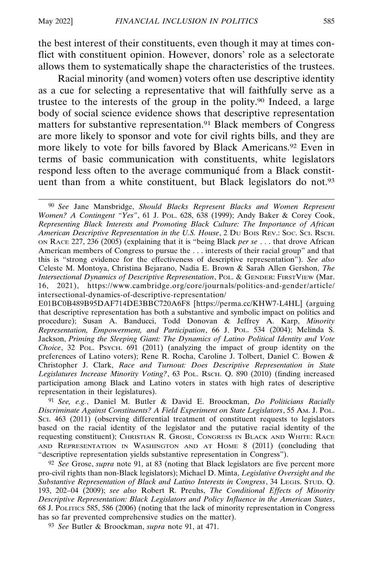the best interest of their constituents, even though it may at times conflict with constituent opinion. However, donors' role as a selectorate allows them to systematically shape the characteristics of the trustees.

Racial minority (and women) voters often use descriptive identity as a cue for selecting a representative that will faithfully serve as a trustee to the interests of the group in the polity.90 Indeed, a large body of social science evidence shows that descriptive representation matters for substantive representation.91 Black members of Congress are more likely to sponsor and vote for civil rights bills, and they are more likely to vote for bills favored by Black Americans.92 Even in terms of basic communication with constituents, white legislators respond less often to the average communiqué from a Black constituent than from a white constituent, but Black legislators do not.93

91 *See, e.g.*, Daniel M. Butler & David E. Broockman, *Do Politicians Racially Discriminate Against Constituents? A Field Experiment on State Legislators*, 55 AM. J. POL. SCI. 463 (2011) (observing differential treatment of constituent requests to legislators based on the racial identity of the legislator and the putative racial identity of the requesting constituent); CHRISTIAN R. GROSE, CONGRESS IN BLACK AND WHITE: RACE AND REPRESENTATION IN WASHINGTON AND AT HOME 8 (2011) (concluding that "descriptive representation yields substantive representation in Congress").

92 *See* Grose, *supra* note 91, at 83 (noting that Black legislators are five percent more pro-civil rights than non-Black legislators); Michael D. Minta, *Legislative Oversight and the Substantive Representation of Black and Latino Interests in Congress*, 34 LEGIS. STUD. Q. 193, 202–04 (2009); *see also* Robert R. Preuhs, *The Conditional Effects of Minority Descriptive Representation: Black Legislators and Policy Influence in the American States*, 68 J. POLITICS 585, 586 (2006) (noting that the lack of minority representation in Congress has so far prevented comprehensive studies on the matter).

93 *See* Butler & Broockman, *supra* note 91, at 471.

<sup>90</sup> *See* Jane Mansbridge, *Should Blacks Represent Blacks and Women Represent Women? A Contingent "Yes"*, 61 J. POL. 628, 638 (1999); Andy Baker & Corey Cook, *Representing Black Interests and Promoting Black Culture: The Importance of African American Descriptive Representation in the U.S. House*, 2 DU BOIS REV.: SOC. SCI. RSCH. ON RACE 227, 236 (2005) (explaining that it is "being Black *per se* . . . that drove African American members of Congress to pursue the . . . interests of their racial group" and that this is "strong evidence for the effectiveness of descriptive representation"). *See also* Celeste M. Montoya, Christina Bejarano, Nadia E. Brown & Sarah Allen Gershon, *The Intersectional Dynamics of Descriptive Representation*, POL. & GENDER: FIRSTVIEW (Mar. 16, 2021), https://www.cambridge.org/core/journals/politics-and-gender/article/ intersectional-dynamics-of-descriptive-representation/

E01BC0B489B95DAF714DE3BBC720A6F8 [https://perma.cc/KHW7-L4HL] (arguing that descriptive representation has both a substantive and symbolic impact on politics and procedure); Susan A. Banducci, Todd Donovan & Jeffrey A. Karp, *Minority Representation, Empowerment, and Participation*, 66 J. POL. 534 (2004); Melinda S. Jackson, *Priming the Sleeping Giant: The Dynamics of Latino Political Identity and Vote Choice*, 32 POL. PSYCH. 691 (2011) (analyzing the impact of group identity on the preferences of Latino voters); Rene R. Rocha, Caroline J. Tolbert, Daniel C. Bowen & Christopher J. Clark, *Race and Turnout: Does Descriptive Representation in State* Legislatures Increase Minority Voting?, 63 POL. Rsc*H. Q. 890 (2010)* (finding increased participation among Black and Latino voters in states with high rates of descriptive representation in their legislatures).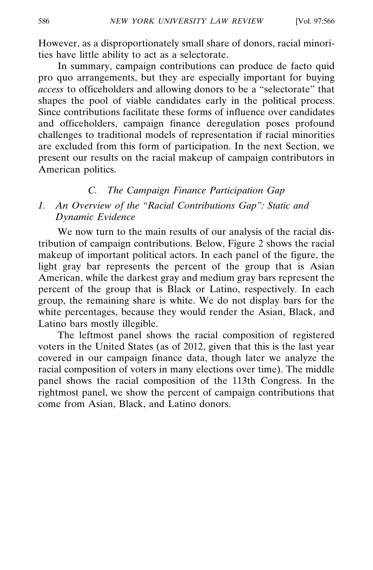However, as a disproportionately small share of donors, racial minorities have little ability to act as a selectorate.

In summary, campaign contributions can produce de facto quid pro quo arrangements, but they are especially important for buying *access* to officeholders and allowing donors to be a "selectorate" that shapes the pool of viable candidates early in the political process. Since contributions facilitate these forms of influence over candidates and officeholders, campaign finance deregulation poses profound challenges to traditional models of representation if racial minorities are excluded from this form of participation. In the next Section, we present our results on the racial makeup of campaign contributors in American politics.

# *C. The Campaign Finance Participation Gap*

# *1. An Overview of the "Racial Contributions Gap": Static and Dynamic Evidence*

We now turn to the main results of our analysis of the racial distribution of campaign contributions. Below, Figure 2 shows the racial makeup of important political actors. In each panel of the figure, the light gray bar represents the percent of the group that is Asian American, while the darkest gray and medium gray bars represent the percent of the group that is Black or Latino, respectively. In each group, the remaining share is white. We do not display bars for the white percentages, because they would render the Asian, Black, and Latino bars mostly illegible.

The leftmost panel shows the racial composition of registered voters in the United States (as of 2012, given that this is the last year covered in our campaign finance data, though later we analyze the racial composition of voters in many elections over time). The middle panel shows the racial composition of the 113th Congress. In the rightmost panel, we show the percent of campaign contributions that come from Asian, Black, and Latino donors.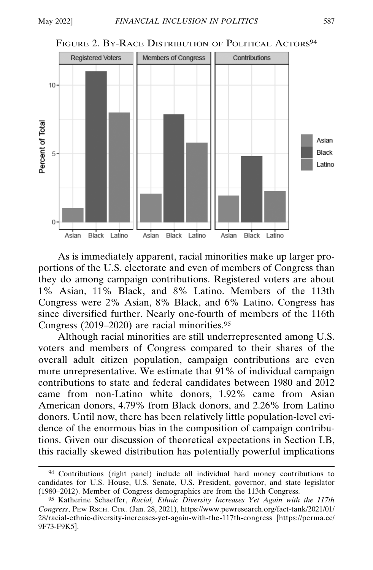

FIGURE 2. BY-RACE DISTRIBUTION OF POLITICAL ACTORS<sup>94</sup>

As is immediately apparent, racial minorities make up larger proportions of the U.S. electorate and even of members of Congress than they do among campaign contributions. Registered voters are about 1% Asian, 11% Black, and 8% Latino. Members of the 113th Congress were 2% Asian, 8% Black, and 6% Latino. Congress has since diversified further. Nearly one-fourth of members of the 116th Congress (2019–2020) are racial minorities.<sup>95</sup>

Although racial minorities are still underrepresented among U.S. voters and members of Congress compared to their shares of the overall adult citizen population, campaign contributions are even more unrepresentative. We estimate that 91% of individual campaign contributions to state and federal candidates between 1980 and 2012 came from non-Latino white donors, 1.92% came from Asian American donors, 4.79% from Black donors, and 2.26% from Latino donors. Until now, there has been relatively little population-level evidence of the enormous bias in the composition of campaign contributions. Given our discussion of theoretical expectations in Section I.B, this racially skewed distribution has potentially powerful implications

<sup>94</sup> Contributions (right panel) include all individual hard money contributions to candidates for U.S. House, U.S. Senate, U.S. President, governor, and state legislator (1980–2012). Member of Congress demographics are from the 113th Congress.

<sup>95</sup> Katherine Schaeffer, *Racial, Ethnic Diversity Increases Yet Again with the 117th Congress*, PEW RSCH. CTR. (Jan. 28, 2021), https://www.pewresearch.org/fact-tank/2021/01/ 28/racial-ethnic-diversity-increases-yet-again-with-the-117th-congress [https://perma.cc/ 9F73-F9K5].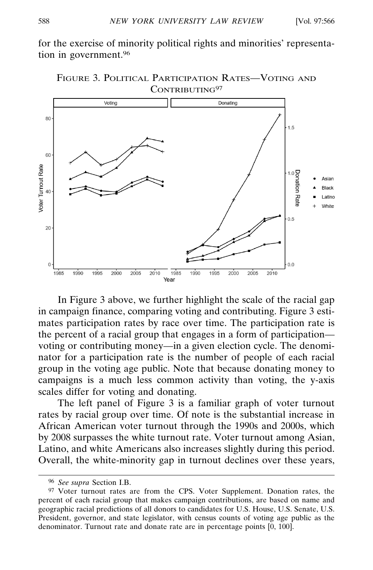for the exercise of minority political rights and minorities' representation in government.96



In Figure 3 above, we further highlight the scale of the racial gap in campaign finance, comparing voting and contributing. Figure 3 estimates participation rates by race over time. The participation rate is the percent of a racial group that engages in a form of participation voting or contributing money—in a given election cycle. The denominator for a participation rate is the number of people of each racial group in the voting age public. Note that because donating money to campaigns is a much less common activity than voting, the y-axis scales differ for voting and donating.

The left panel of Figure 3 is a familiar graph of voter turnout rates by racial group over time. Of note is the substantial increase in African American voter turnout through the 1990s and 2000s, which by 2008 surpasses the white turnout rate. Voter turnout among Asian, Latino, and white Americans also increases slightly during this period. Overall, the white-minority gap in turnout declines over these years,

<sup>96</sup> *See supra* Section I.B.

<sup>97</sup> Voter turnout rates are from the CPS. Voter Supplement. Donation rates, the percent of each racial group that makes campaign contributions, are based on name and geographic racial predictions of all donors to candidates for U.S. House, U.S. Senate, U.S. President, governor, and state legislator, with census counts of voting age public as the denominator. Turnout rate and donate rate are in percentage points [0, 100].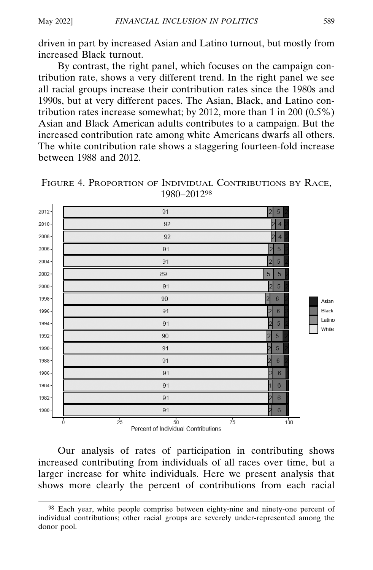driven in part by increased Asian and Latino turnout, but mostly from increased Black turnout.

By contrast, the right panel, which focuses on the campaign contribution rate, shows a very different trend. In the right panel we see all racial groups increase their contribution rates since the 1980s and 1990s, but at very different paces. The Asian, Black, and Latino contribution rates increase somewhat; by 2012, more than 1 in 200 (0.5%) Asian and Black American adults contributes to a campaign. But the increased contribution rate among white Americans dwarfs all others. The white contribution rate shows a staggering fourteen-fold increase between 1988 and 2012.





Our analysis of rates of participation in contributing shows increased contributing from individuals of all races over time, but a larger increase for white individuals. Here we present analysis that shows more clearly the percent of contributions from each racial

<sup>98</sup> Each year, white people comprise between eighty-nine and ninety-one percent of individual contributions; other racial groups are severely under-represented among the donor pool.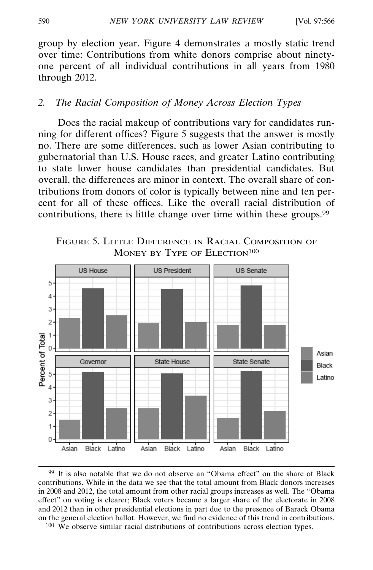group by election year. Figure 4 demonstrates a mostly static trend over time: Contributions from white donors comprise about ninetyone percent of all individual contributions in all years from 1980 through 2012.

### *2. The Racial Composition of Money Across Election Types*

Does the racial makeup of contributions vary for candidates running for different offices? Figure 5 suggests that the answer is mostly no. There are some differences, such as lower Asian contributing to gubernatorial than U.S. House races, and greater Latino contributing to state lower house candidates than presidential candidates. But overall, the differences are minor in context. The overall share of contributions from donors of color is typically between nine and ten percent for all of these offices. Like the overall racial distribution of contributions, there is little change over time within these groups.<sup>99</sup>

FIGURE 5. LITTLE DIFFERENCE IN RACIAL COMPOSITION OF MONEY BY TYPE OF ELECTION<sup>100</sup>



99 It is also notable that we do not observe an "Obama effect" on the share of Black contributions. While in the data we see that the total amount from Black donors increases in 2008 and 2012, the total amount from other racial groups increases as well. The "Obama effect" on voting is clearer; Black voters became a larger share of the electorate in 2008 and 2012 than in other presidential elections in part due to the presence of Barack Obama on the general election ballot. However, we find no evidence of this trend in contributions.

100 We observe similar racial distributions of contributions across election types.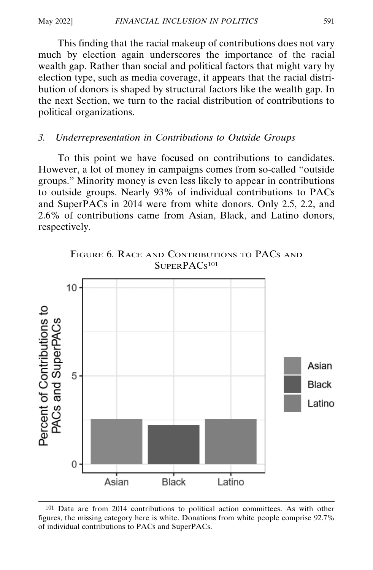This finding that the racial makeup of contributions does not vary much by election again underscores the importance of the racial wealth gap. Rather than social and political factors that might vary by election type, such as media coverage, it appears that the racial distribution of donors is shaped by structural factors like the wealth gap. In the next Section, we turn to the racial distribution of contributions to political organizations.

### *3. Underrepresentation in Contributions to Outside Groups*

To this point we have focused on contributions to candidates. However, a lot of money in campaigns comes from so-called "outside groups." Minority money is even less likely to appear in contributions to outside groups. Nearly 93% of individual contributions to PACs and SuperPACs in 2014 were from white donors. Only 2.5, 2.2, and 2.6% of contributions came from Asian, Black, and Latino donors, respectively.



FIGURE 6. RACE AND CONTRIBUTIONS TO PACS AND SUPERPAC<sub>S101</sub>

101 Data are from 2014 contributions to political action committees. As with other figures, the missing category here is white. Donations from white people comprise 92.7% of individual contributions to PACs and SuperPACs.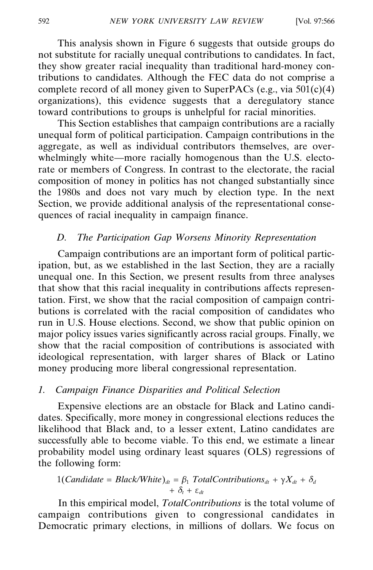This analysis shown in Figure 6 suggests that outside groups do not substitute for racially unequal contributions to candidates. In fact, they show greater racial inequality than traditional hard-money contributions to candidates. Although the FEC data do not comprise a complete record of all money given to SuperPACs (e.g., via  $501(c)(4)$ ) organizations), this evidence suggests that a deregulatory stance toward contributions to groups is unhelpful for racial minorities.

This Section establishes that campaign contributions are a racially unequal form of political participation. Campaign contributions in the aggregate, as well as individual contributors themselves, are overwhelmingly white—more racially homogenous than the U.S. electorate or members of Congress. In contrast to the electorate, the racial composition of money in politics has not changed substantially since the 1980s and does not vary much by election type. In the next Section, we provide additional analysis of the representational consequences of racial inequality in campaign finance.

# *D. The Participation Gap Worsens Minority Representation*

Campaign contributions are an important form of political participation, but, as we established in the last Section, they are a racially unequal one. In this Section, we present results from three analyses that show that this racial inequality in contributions affects representation. First, we show that the racial composition of campaign contributions is correlated with the racial composition of candidates who run in U.S. House elections. Second, we show that public opinion on major policy issues varies significantly across racial groups. Finally, we show that the racial composition of contributions is associated with ideological representation, with larger shares of Black or Latino money producing more liberal congressional representation.

### *1. Campaign Finance Disparities and Political Selection*

Expensive elections are an obstacle for Black and Latino candidates. Specifically, more money in congressional elections reduces the likelihood that Black and, to a lesser extent, Latino candidates are successfully able to become viable. To this end, we estimate a linear probability model using ordinary least squares (OLS) regressions of the following form:

$$
1(Candidate = Black/White)_{dt} = \beta_1 Total Contributions_{dt} + \gamma X_{dt} + \delta_d
$$

$$
+ \delta_t + \epsilon_{dt}
$$

In this empirical model, *TotalContributions* is the total volume of campaign contributions given to congressional candidates in Democratic primary elections, in millions of dollars. We focus on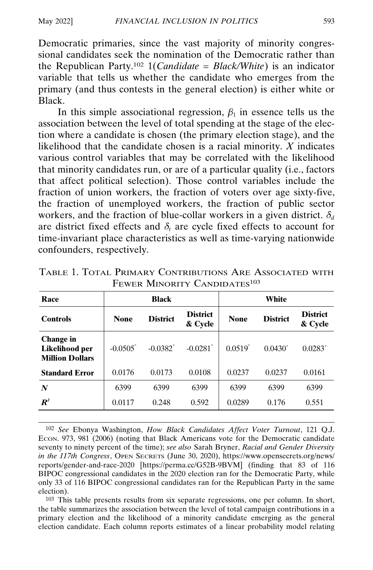Democratic primaries, since the vast majority of minority congressional candidates seek the nomination of the Democratic rather than the Republican Party.102 1(*Candidate = Black/White*) is an indicator variable that tells us whether the candidate who emerges from the primary (and thus contests in the general election) is either white or Black.

In this simple associational regression,  $\beta_1$  in essence tells us the association between the level of total spending at the stage of the election where a candidate is chosen (the primary election stage), and the likelihood that the candidate chosen is a racial minority. *X* indicates various control variables that may be correlated with the likelihood that minority candidates run, or are of a particular quality (i.e., factors that affect political selection). Those control variables include the fraction of union workers, the fraction of voters over age sixty-five, the fraction of unemployed workers, the fraction of public sector workers, and the fraction of blue-collar workers in a given district.  $\delta_d$ are district fixed effects and  $\delta_t$  are cycle fixed effects to account for time-invariant place characteristics as well as time-varying nationwide confounders, respectively.

| Race                                                         |                        | <b>Black</b>           |                            |                       | White           |                            |
|--------------------------------------------------------------|------------------------|------------------------|----------------------------|-----------------------|-----------------|----------------------------|
| <b>Controls</b>                                              | <b>None</b>            | <b>District</b>        | <b>District</b><br>& Cycle | <b>None</b>           | <b>District</b> | <b>District</b><br>& Cycle |
| <b>Change in</b><br>Likelihood per<br><b>Million Dollars</b> | $-0.0505$ <sup>*</sup> | $-0.0382$ <sup>*</sup> | $-0.0281$ <sup>*</sup>     | $0.0519$ <sup>*</sup> | $0.0430^{+}$    | $0.0283^{+}$               |
| <b>Standard Error</b>                                        | 0.0176                 | 0.0173                 | 0.0108                     | 0.0237                | 0.0237          | 0.0161                     |
| N                                                            | 6399                   | 6399                   | 6399                       | 6399                  | 6399            | 6399                       |
| $\boldsymbol{R}^2$                                           | 0.0117                 | 0.248                  | 0.592                      | 0.0289                | 0.176           | 0.551                      |

TABLE 1. TOTAL PRIMARY CONTRIBUTIONS ARE ASSOCIATED WITH FEWER MINORITY CANDIDATES<sup>103</sup>

102 *See* Ebonya Washington, *How Black Candidates Affect Voter Turnout*, 121 Q.J. ECON. 973, 981 (2006) (noting that Black Americans vote for the Democratic candidate seventy to ninety percent of the time); *see also* Sarah Bryner, *Racial and Gender Diversity in the 117th Congress*, OPEN SECRETS (June 30, 2020), https://www.opensecrets.org/news/ reports/gender-and-race-2020 [https://perma.cc/G52B-9BVM] (finding that 83 of 116 BIPOC congressional candidates in the 2020 election ran for the Democratic Party, while only 33 of 116 BIPOC congressional candidates ran for the Republican Party in the same election).

103 This table presents results from six separate regressions, one per column. In short, the table summarizes the association between the level of total campaign contributions in a primary election and the likelihood of a minority candidate emerging as the general election candidate. Each column reports estimates of a linear probability model relating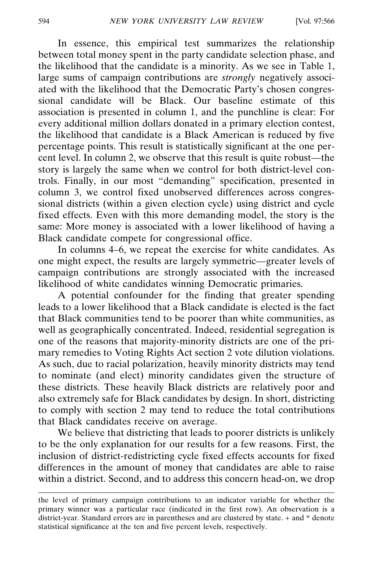In essence, this empirical test summarizes the relationship between total money spent in the party candidate selection phase, and the likelihood that the candidate is a minority. As we see in Table 1, large sums of campaign contributions are *strongly* negatively associated with the likelihood that the Democratic Party's chosen congressional candidate will be Black. Our baseline estimate of this association is presented in column 1, and the punchline is clear: For every additional million dollars donated in a primary election contest, the likelihood that candidate is a Black American is reduced by five percentage points. This result is statistically significant at the one percent level. In column 2, we observe that this result is quite robust—the story is largely the same when we control for both district-level controls. Finally, in our most "demanding" specification, presented in column 3, we control fixed unobserved differences across congressional districts (within a given election cycle) using district and cycle fixed effects. Even with this more demanding model, the story is the same: More money is associated with a lower likelihood of having a Black candidate compete for congressional office.

In columns 4–6, we repeat the exercise for white candidates. As one might expect, the results are largely symmetric—greater levels of campaign contributions are strongly associated with the increased likelihood of white candidates winning Democratic primaries.

A potential confounder for the finding that greater spending leads to a lower likelihood that a Black candidate is elected is the fact that Black communities tend to be poorer than white communities, as well as geographically concentrated. Indeed, residential segregation is one of the reasons that majority-minority districts are one of the primary remedies to Voting Rights Act section 2 vote dilution violations. As such, due to racial polarization, heavily minority districts may tend to nominate (and elect) minority candidates given the structure of these districts. These heavily Black districts are relatively poor and also extremely safe for Black candidates by design. In short, districting to comply with section 2 may tend to reduce the total contributions that Black candidates receive on average.

We believe that districting that leads to poorer districts is unlikely to be the only explanation for our results for a few reasons. First, the inclusion of district-redistricting cycle fixed effects accounts for fixed differences in the amount of money that candidates are able to raise within a district. Second, and to address this concern head-on, we drop

the level of primary campaign contributions to an indicator variable for whether the primary winner was a particular race (indicated in the first row). An observation is a district-year. Standard errors are in parentheses and are clustered by state. + and \* denote statistical significance at the ten and five percent levels, respectively.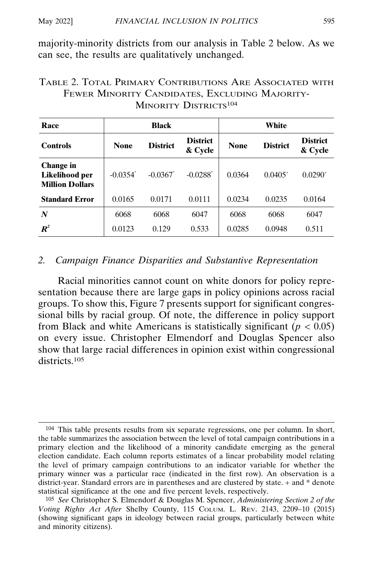majority-minority districts from our analysis in Table 2 below. As we can see, the results are qualitatively unchanged.

TABLE 2. TOTAL PRIMARY CONTRIBUTIONS ARE ASSOCIATED WITH FEWER MINORITY CANDIDATES, EXCLUDING MAJORITY-MINORITY DISTRICTS<sup>104</sup>

| <b>Black</b><br>Race                                  |                        |                        | White                      |             |                 |                            |
|-------------------------------------------------------|------------------------|------------------------|----------------------------|-------------|-----------------|----------------------------|
| <b>Controls</b>                                       | <b>None</b>            | <b>District</b>        | <b>District</b><br>& Cycle | <b>None</b> | <b>District</b> | <b>District</b><br>& Cycle |
| Change in<br>Likelihood per<br><b>Million Dollars</b> | $-0.0354$ <sup>*</sup> | $-0.0367$ <sup>*</sup> | $-0.0288$ <sup>*</sup>     | 0.0364      | $0.0405^{+}$    | $0.0290^+$                 |
| <b>Standard Error</b>                                 | 0.0165                 | 0.0171                 | 0.0111                     | 0.0234      | 0.0235          | 0.0164                     |
| N                                                     | 6068                   | 6068                   | 6047                       | 6068        | 6068            | 6047                       |
| $\boldsymbol{R}^2$                                    | 0.0123                 | 0.129                  | 0.533                      | 0.0285      | 0.0948          | 0.511                      |

# *2. Campaign Finance Disparities and Substantive Representation*

Racial minorities cannot count on white donors for policy representation because there are large gaps in policy opinions across racial groups. To show this, Figure 7 presents support for significant congressional bills by racial group. Of note, the difference in policy support from Black and white Americans is statistically significant  $(p < 0.05)$ on every issue. Christopher Elmendorf and Douglas Spencer also show that large racial differences in opinion exist within congressional districts.105

<sup>104</sup> This table presents results from six separate regressions, one per column. In short, the table summarizes the association between the level of total campaign contributions in a primary election and the likelihood of a minority candidate emerging as the general election candidate. Each column reports estimates of a linear probability model relating the level of primary campaign contributions to an indicator variable for whether the primary winner was a particular race (indicated in the first row). An observation is a district-year. Standard errors are in parentheses and are clustered by state. + and \* denote statistical significance at the one and five percent levels, respectively.

<sup>105</sup> *See* Christopher S. Elmendorf & Douglas M. Spencer, *Administering Section 2 of the Voting Rights Act After* Shelby County, 115 COLUM. L. REV. 2143, 2209–10 (2015) (showing significant gaps in ideology between racial groups, particularly between white and minority citizens).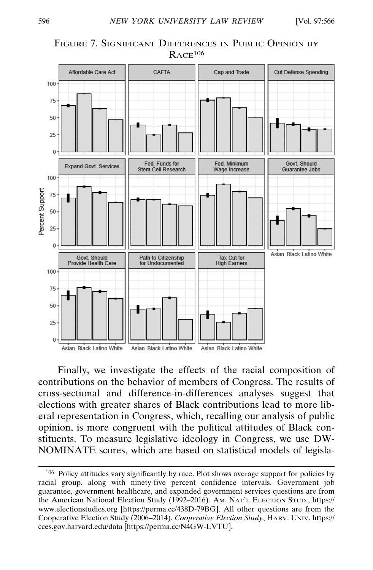



### FIGURE 7. SIGNIFICANT DIFFERENCES IN PUBLIC OPINION BY  $R$ ACE $^{106}$

Finally, we investigate the effects of the racial composition of contributions on the behavior of members of Congress. The results of cross-sectional and difference-in-differences analyses suggest that elections with greater shares of Black contributions lead to more liberal representation in Congress, which, recalling our analysis of public opinion, is more congruent with the political attitudes of Black constituents. To measure legislative ideology in Congress, we use DW-NOMINATE scores, which are based on statistical models of legisla-

<sup>106</sup> Policy attitudes vary significantly by race. Plot shows average support for policies by racial group, along with ninety-five percent confidence intervals. Government job guarantee, government healthcare, and expanded government services questions are from the American National Election Study (1992–2016). AM. NAT'L ELECTION STUD., https:// www.electionstudies.org [https://perma.cc/438D-79BG]. All other questions are from the Cooperative Election Study (2006–2014). *Cooperative Election Study*, HARV. UNIV. https:// cces.gov.harvard.edu/data [https://perma.cc/N4GW-LVTU].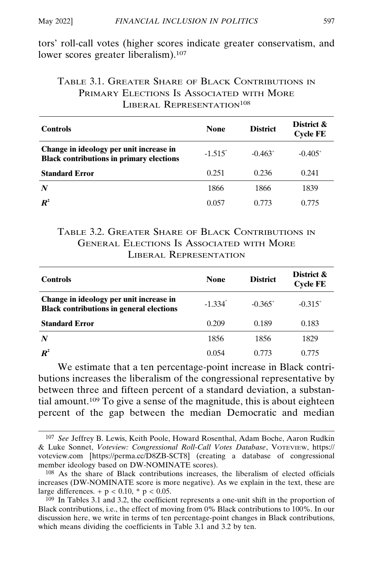tors' roll-call votes (higher scores indicate greater conservatism, and lower scores greater liberalism).<sup>107</sup>

# TABLE 3.1. GREATER SHARE OF BLACK CONTRIBUTIONS IN PRIMARY ELECTIONS IS ASSOCIATED WITH MORE LIBERAL REPRESENTATION<sup>108</sup>

| <b>Controls</b>                                                                            | None       | <b>District</b>       | District &<br><b>Cycle FE</b> |
|--------------------------------------------------------------------------------------------|------------|-----------------------|-------------------------------|
| Change in ideology per unit increase in<br><b>Black contributions in primary elections</b> | $-1.515^*$ | $-0.463$ <sup>+</sup> | $-0.405^+$                    |
| <b>Standard Error</b>                                                                      | 0.251      | 0.236                 | 0.241                         |
| N                                                                                          | 1866       | 1866                  | 1839                          |
| $\boldsymbol{R}^2$                                                                         | 0.057      | 0.773                 | 0.775                         |

### TABLE 3.2. GREATER SHARE OF BLACK CONTRIBUTIONS IN GENERAL ELECTIONS IS ASSOCIATED WITH MORE LIBERAL REPRESENTATION

| <b>Controls</b>                                                                            | <b>None</b>           | <b>District</b> | District &<br><b>Cycle FE</b> |
|--------------------------------------------------------------------------------------------|-----------------------|-----------------|-------------------------------|
| Change in ideology per unit increase in<br><b>Black contributions in general elections</b> | $-1.334$ <sup>*</sup> | $-0.365^+$      | $-0.315^{+}$                  |
| <b>Standard Error</b>                                                                      | 0.209                 | 0.189           | 0.183                         |
| $\boldsymbol{N}$                                                                           | 1856                  | 1856            | 1829                          |
| $\boldsymbol{R}^2$                                                                         | 0.054                 | 0.773           | 0.775                         |

We estimate that a ten percentage-point increase in Black contributions increases the liberalism of the congressional representative by between three and fifteen percent of a standard deviation, a substantial amount.109 To give a sense of the magnitude, this is about eighteen percent of the gap between the median Democratic and median

<sup>107</sup> *See* Jeffrey B. Lewis, Keith Poole, Howard Rosenthal, Adam Boche, Aaron Rudkin & Luke Sonnet, *Voteview: Congressional Roll-Call Votes Database*, VOTEVIEW, https:// voteview.com [https://perma.cc/D8ZB-SCT8] (creating a database of congressional member ideology based on DW-NOMINATE scores).

<sup>108</sup> As the share of Black contributions increases, the liberalism of elected officials increases (DW-NOMINATE score is more negative). As we explain in the text, these are large differences.  $+ p < 0.10, * p < 0.05$ .

<sup>&</sup>lt;sup>109</sup> In Tables 3.1 and 3.2, the coefficient represents a one-unit shift in the proportion of Black contributions, i.e., the effect of moving from 0% Black contributions to 100%. In our discussion here, we write in terms of ten percentage-point changes in Black contributions, which means dividing the coefficients in Table 3.1 and 3.2 by ten.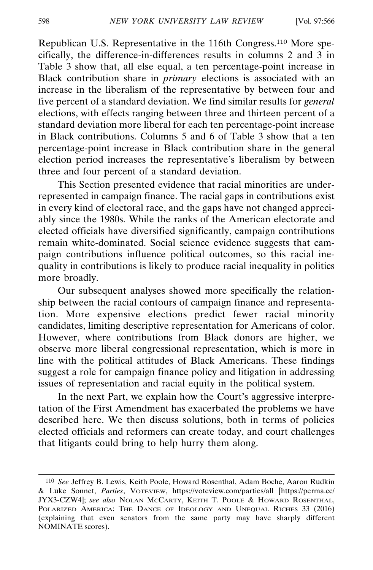Republican U.S. Representative in the 116th Congress.110 More specifically, the difference-in-differences results in columns 2 and 3 in Table 3 show that, all else equal, a ten percentage-point increase in Black contribution share in *primary* elections is associated with an increase in the liberalism of the representative by between four and five percent of a standard deviation. We find similar results for *general* elections, with effects ranging between three and thirteen percent of a standard deviation more liberal for each ten percentage-point increase in Black contributions. Columns 5 and 6 of Table 3 show that a ten percentage-point increase in Black contribution share in the general election period increases the representative's liberalism by between three and four percent of a standard deviation.

This Section presented evidence that racial minorities are underrepresented in campaign finance. The racial gaps in contributions exist in every kind of electoral race, and the gaps have not changed appreciably since the 1980s. While the ranks of the American electorate and elected officials have diversified significantly, campaign contributions remain white-dominated. Social science evidence suggests that campaign contributions influence political outcomes, so this racial inequality in contributions is likely to produce racial inequality in politics more broadly.

Our subsequent analyses showed more specifically the relationship between the racial contours of campaign finance and representation. More expensive elections predict fewer racial minority candidates, limiting descriptive representation for Americans of color. However, where contributions from Black donors are higher, we observe more liberal congressional representation, which is more in line with the political attitudes of Black Americans. These findings suggest a role for campaign finance policy and litigation in addressing issues of representation and racial equity in the political system.

In the next Part, we explain how the Court's aggressive interpretation of the First Amendment has exacerbated the problems we have described here. We then discuss solutions, both in terms of policies elected officials and reformers can create today, and court challenges that litigants could bring to help hurry them along.

<sup>110</sup> *See* Jeffrey B. Lewis, Keith Poole, Howard Rosenthal, Adam Boche, Aaron Rudkin & Luke Sonnet, *Parties*, VOTEVIEW, https://voteview.com/parties/all [https://perma.cc/ JYX3-CZW4]; *see also* NOLAN MCCARTY, KEITH T. POOLE & HOWARD ROSENTHAL, POLARIZED AMERICA: THE DANCE OF IDEOLOGY AND UNEQUAL RICHES 33 (2016) (explaining that even senators from the same party may have sharply different NOMINATE scores).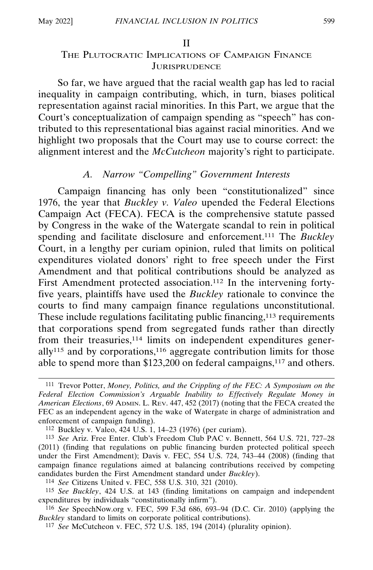#### II

### THE PLUTOCRATIC IMPLICATIONS OF CAMPAIGN FINANCE **JURISPRUDENCE**

So far, we have argued that the racial wealth gap has led to racial inequality in campaign contributing, which, in turn, biases political representation against racial minorities. In this Part, we argue that the Court's conceptualization of campaign spending as "speech" has contributed to this representational bias against racial minorities. And we highlight two proposals that the Court may use to course correct: the alignment interest and the *McCutcheon* majority's right to participate.

### *A. Narrow "Compelling" Government Interests*

Campaign financing has only been "constitutionalized" since 1976, the year that *Buckley v. Valeo* upended the Federal Elections Campaign Act (FECA). FECA is the comprehensive statute passed by Congress in the wake of the Watergate scandal to rein in political spending and facilitate disclosure and enforcement.111 The *Buckley* Court, in a lengthy per curiam opinion, ruled that limits on political expenditures violated donors' right to free speech under the First Amendment and that political contributions should be analyzed as First Amendment protected association.<sup>112</sup> In the intervening fortyfive years, plaintiffs have used the *Buckley* rationale to convince the courts to find many campaign finance regulations unconstitutional. These include regulations facilitating public financing,<sup>113</sup> requirements that corporations spend from segregated funds rather than directly from their treasuries,<sup>114</sup> limits on independent expenditures generally<sup>115</sup> and by corporations,<sup>116</sup> aggregate contribution limits for those able to spend more than \$123,200 on federal campaigns,<sup>117</sup> and others.

114 *See* Citizens United v. FEC, 558 U.S. 310, 321 (2010).

<sup>111</sup> Trevor Potter, *Money, Politics, and the Crippling of the FEC: A Symposium on the Federal Election Commission's Arguable Inability to Effectively Regulate Money in American Elections*, 69 ADMIN. L. REV. 447, 452 (2017) (noting that the FECA created the FEC as an independent agency in the wake of Watergate in charge of administration and enforcement of campaign funding).

<sup>112</sup> Buckley v. Valeo, 424 U.S. 1, 14–23 (1976) (per curiam).

<sup>113</sup> *See* Ariz. Free Enter. Club's Freedom Club PAC v. Bennett, 564 U.S. 721, 727–28 (2011) (finding that regulations on public financing burden protected political speech under the First Amendment); Davis v. FEC, 554 U.S. 724, 743-44 (2008) (finding that campaign finance regulations aimed at balancing contributions received by competing candidates burden the First Amendment standard under *Buckley*).

<sup>115</sup> *See Buckley*, 424 U.S. at 143 (finding limitations on campaign and independent expenditures by individuals "constitutionally infirm").

<sup>116</sup> *See* SpeechNow.org v. FEC, 599 F.3d 686, 693–94 (D.C. Cir. 2010) (applying the *Buckley* standard to limits on corporate political contributions).

<sup>117</sup> *See* McCutcheon v. FEC, 572 U.S. 185, 194 (2014) (plurality opinion).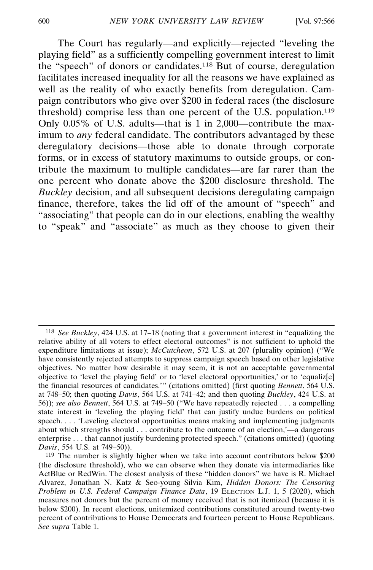The Court has regularly—and explicitly—rejected "leveling the playing field" as a sufficiently compelling government interest to limit the "speech" of donors or candidates.118 But of course, deregulation facilitates increased inequality for all the reasons we have explained as well as the reality of who exactly benefits from deregulation. Campaign contributors who give over \$200 in federal races (the disclosure threshold) comprise less than one percent of the U.S. population.119 Only 0.05% of U.S. adults—that is 1 in 2,000—contribute the maximum to *any* federal candidate. The contributors advantaged by these deregulatory decisions—those able to donate through corporate forms, or in excess of statutory maximums to outside groups, or contribute the maximum to multiple candidates—are far rarer than the one percent who donate above the \$200 disclosure threshold. The *Buckley* decision, and all subsequent decisions deregulating campaign finance, therefore, takes the lid off of the amount of "speech" and "associating" that people can do in our elections, enabling the wealthy to "speak" and "associate" as much as they choose to given their

<sup>118</sup> *See Buckley*, 424 U.S. at 17–18 (noting that a government interest in "equalizing the relative ability of all voters to effect electoral outcomes" is not sufficient to uphold the expenditure limitations at issue); *McCutcheon*, 572 U.S. at 207 (plurality opinion) ("We have consistently rejected attempts to suppress campaign speech based on other legislative objectives. No matter how desirable it may seem, it is not an acceptable governmental objective to 'level the playing field' or to 'level electoral opportunities,' or to 'equaliz[e] the financial resources of candidates.'" (citations omitted) (first quoting *Bennett*, 564 U.S. at 748–50; then quoting *Davis*, 564 U.S. at 741–42; and then quoting *Buckley*, 424 U.S. at 56)); *see also Bennett*, 564 U.S. at 749–50 ("We have repeatedly rejected . . . a compelling state interest in 'leveling the playing field' that can justify undue burdens on political speech. . . . 'Leveling electoral opportunities means making and implementing judgments about which strengths should . . . contribute to the outcome of an election,'—a dangerous enterprise . . . that cannot justify burdening protected speech." (citations omitted) (quoting *Davis*, 554 U.S. at 749–50)).

<sup>119</sup> The number is slightly higher when we take into account contributors below \$200 (the disclosure threshold), who we can observe when they donate via intermediaries like ActBlue or RedWin. The closest analysis of these "hidden donors" we have is R. Michael Alvarez, Jonathan N. Katz & Seo-young Silvia Kim, *Hidden Donors: The Censoring Problem in U.S. Federal Campaign Finance Data*, 19 ELECTION L.J. 1, 5 (2020), which measures not donors but the percent of money received that is not itemized (because it is below \$200). In recent elections, unitemized contributions constituted around twenty-two percent of contributions to House Democrats and fourteen percent to House Republicans. *See supra* Table 1.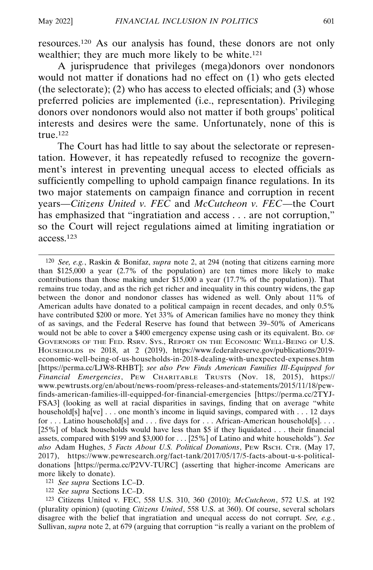resources.120 As our analysis has found, these donors are not only wealthier; they are much more likely to be white.<sup>121</sup>

A jurisprudence that privileges (mega)donors over nondonors would not matter if donations had no effect on (1) who gets elected (the selectorate); (2) who has access to elected officials; and (3) whose preferred policies are implemented (i.e., representation). Privileging donors over nondonors would also not matter if both groups' political interests and desires were the same. Unfortunately, none of this is true.122

The Court has had little to say about the selectorate or representation. However, it has repeatedly refused to recognize the government's interest in preventing unequal access to elected officials as sufficiently compelling to uphold campaign finance regulations. In its two major statements on campaign finance and corruption in recent years—*Citizens United v. FEC* and *McCutcheon v. FEC*—the Court has emphasized that "ingratiation and access . . . are not corruption," so the Court will reject regulations aimed at limiting ingratiation or access.123

<sup>120</sup> *See, e.g.*, Raskin & Bonifaz, *supra* note 2, at 294 (noting that citizens earning more than \$125,000 a year (2.7% of the population) are ten times more likely to make contributions than those making under \$15,000 a year (17.7% of the population)). That remains true today, and as the rich get richer and inequality in this country widens, the gap between the donor and nondonor classes has widened as well. Only about 11% of American adults have donated to a political campaign in recent decades, and only 0.5% have contributed \$200 or more. Yet 33% of American families have no money they think of as savings, and the Federal Reserve has found that between 39–50% of Americans would not be able to cover a \$400 emergency expense using cash or its equivalent. BD. OF GOVERNORS OF THE FED. RSRV. SYS., REPORT ON THE ECONOMIC WELL-BEING OF U.S. HOUSEHOLDS IN 2018, at 2 (2019), https://www.federalreserve.gov/publications/2019 economic-well-being-of-us-households-in-2018-dealing-with-unexpected-expenses.htm [https://perma.cc/LJW8-RHBT]; *see also Pew Finds American Families Ill-Equipped for Financial Emergencies*, PEW CHARITABLE TRUSTS (Nov. 18, 2015), https:// www.pewtrusts.org/en/about/news-room/press-releases-and-statements/2015/11/18/pewfinds-american-families-ill-equipped-for-financial-emergencies [https://perma.cc/2TYJ-FSA3] (looking as well at racial disparities in savings, finding that on average "white household[s] ha[ve] . . . one month's income in liquid savings, compared with . . . 12 days for ... Latino household[s] and ... five days for ... African-American household[s]... [25%] of black households would have less than \$5 if they liquidated . . . their financial assets, compared with \$199 and \$3,000 for . . . [25%] of Latino and white households"). *See also* Adam Hughes, *5 Facts About U.S. Political Donations*, PEW RSCH. CTR. (May 17, 2017), https://www.pewresearch.org/fact-tank/2017/05/17/5-facts-about-u-s-politicaldonations [https://perma.cc/P2VV-TURC] (asserting that higher-income Americans are more likely to donate).

<sup>121</sup> *See supra* Sections I.C–D.

<sup>122</sup> *See supra* Sections I.C–D.

<sup>123</sup> Citizens United v. FEC, 558 U.S. 310, 360 (2010); *McCutcheon*, 572 U.S. at 192 (plurality opinion) (quoting *Citizens United*, 558 U.S. at 360). Of course, several scholars disagree with the belief that ingratiation and unequal access do not corrupt. *See, e.g.*, Sullivan, *supra* note 2, at 679 (arguing that corruption "is really a variant on the problem of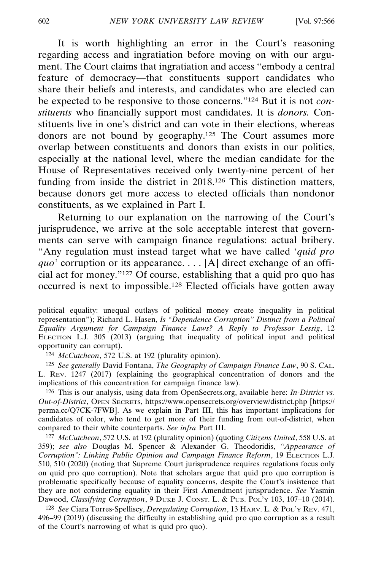It is worth highlighting an error in the Court's reasoning regarding access and ingratiation before moving on with our argument. The Court claims that ingratiation and access "embody a central feature of democracy—that constituents support candidates who share their beliefs and interests, and candidates who are elected can be expected to be responsive to those concerns."124 But it is not *constituents* who financially support most candidates. It is *donors.* Constituents live in one's district and can vote in their elections, whereas donors are not bound by geography.125 The Court assumes more overlap between constituents and donors than exists in our politics, especially at the national level, where the median candidate for the House of Representatives received only twenty-nine percent of her funding from inside the district in 2018.126 This distinction matters, because donors get more access to elected officials than nondonor constituents, as we explained in Part I.

Returning to our explanation on the narrowing of the Court's jurisprudence, we arrive at the sole acceptable interest that governments can serve with campaign finance regulations: actual bribery. "Any regulation must instead target what we have called '*quid pro quo*' corruption or its appearance. . . . [A] direct exchange of an official act for money."127 Of course, establishing that a quid pro quo has occurred is next to impossible.128 Elected officials have gotten away

124 *McCutcheon*, 572 U.S. at 192 (plurality opinion).

125 *See generally* David Fontana, *The Geography of Campaign Finance Law*, 90 S. CAL. L. REV. 1247 (2017) (explaining the geographical concentration of donors and the implications of this concentration for campaign finance law).

126 This is our analysis, using data from OpenSecrets.org, available here: *In-District vs. Out-of-District*, OPEN SECRETS, https://www.opensecrets.org/overview/district.php [https:// perma.cc/Q7CK-7FWB]. As we explain in Part III, this has important implications for candidates of color, who tend to get more of their funding from out-of-district, when compared to their white counterparts. *See infra* Part III.

127 *McCutcheon*, 572 U.S. at 192 (plurality opinion) (quoting *Citizens United*, 558 U.S. at 359); *see also* Douglas M. Spencer & Alexander G. Theodoridis, *"Appearance of Corruption": Linking Public Opinion and Campaign Finance Reform*, 19 ELECTION L.J. 510, 510 (2020) (noting that Supreme Court jurisprudence requires regulations focus only on quid pro quo corruption). Note that scholars argue that quid pro quo corruption is problematic specifically because of equality concerns, despite the Court's insistence that they are not considering equality in their First Amendment jurisprudence. *See* Yasmin Dawood, *Classifying Corruption*, 9 DUKE J. CONST. L. & PUB. POL'Y 103, 107–10 (2014).

128 *See* Ciara Torres-Spelliscy, *Deregulating Corruption*, 13 HARV. L. & POL'Y REV. 471, 496–99 (2019) (discussing the difficulty in establishing quid pro quo corruption as a result of the Court's narrowing of what is quid pro quo).

political equality: unequal outlays of political money create inequality in political representation"); Richard L. Hasen, *Is "Dependence Corruption" Distinct from a Political Equality Argument for Campaign Finance Laws? A Reply to Professor Lessig*, 12 ELECTION L.J. 305 (2013) (arguing that inequality of political input and political opportunity can corrupt).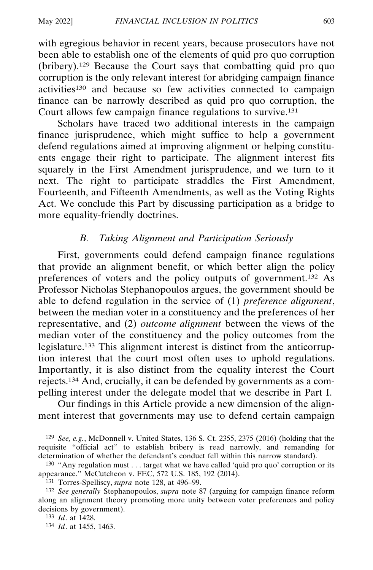with egregious behavior in recent years, because prosecutors have not been able to establish one of the elements of quid pro quo corruption (bribery).129 Because the Court says that combatting quid pro quo corruption is the only relevant interest for abridging campaign finance activities130 and because so few activities connected to campaign finance can be narrowly described as quid pro quo corruption, the Court allows few campaign finance regulations to survive.131

Scholars have traced two additional interests in the campaign finance jurisprudence, which might suffice to help a government defend regulations aimed at improving alignment or helping constituents engage their right to participate. The alignment interest fits squarely in the First Amendment jurisprudence, and we turn to it next. The right to participate straddles the First Amendment, Fourteenth, and Fifteenth Amendments, as well as the Voting Rights Act. We conclude this Part by discussing participation as a bridge to more equality-friendly doctrines.

# *B. Taking Alignment and Participation Seriously*

First, governments could defend campaign finance regulations that provide an alignment benefit, or which better align the policy preferences of voters and the policy outputs of government.132 As Professor Nicholas Stephanopoulos argues, the government should be able to defend regulation in the service of (1) *preference alignment*, between the median voter in a constituency and the preferences of her representative, and (2) *outcome alignment* between the views of the median voter of the constituency and the policy outcomes from the legislature.133 This alignment interest is distinct from the anticorruption interest that the court most often uses to uphold regulations. Importantly, it is also distinct from the equality interest the Court rejects.134 And, crucially, it can be defended by governments as a compelling interest under the delegate model that we describe in Part I.

Our findings in this Article provide a new dimension of the alignment interest that governments may use to defend certain campaign

<sup>129</sup> *See, e.g.*, McDonnell v. United States, 136 S. Ct. 2355, 2375 (2016) (holding that the requisite "official act" to establish bribery is read narrowly, and remanding for determination of whether the defendant's conduct fell within this narrow standard).

<sup>130</sup> "Any regulation must . . . target what we have called 'quid pro quo' corruption or its appearance." McCutcheon v. FEC, 572 U.S. 185, 192 (2014).

<sup>131</sup> Torres-Spelliscy, *supra* note 128, at 496–99.

<sup>132</sup> *See generally* Stephanopoulos, *supra* note 87 (arguing for campaign finance reform along an alignment theory promoting more unity between voter preferences and policy decisions by government).

<sup>133</sup> *Id*. at 1428.

<sup>134</sup> *Id*. at 1455, 1463.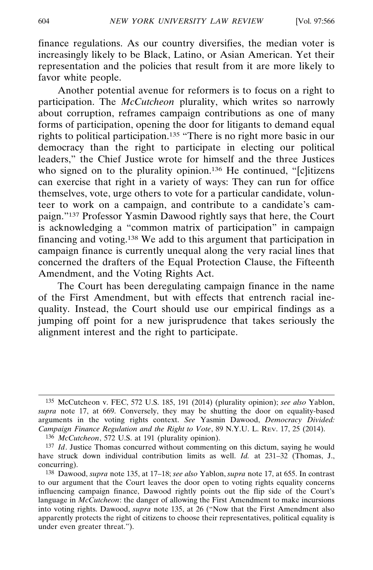finance regulations. As our country diversifies, the median voter is increasingly likely to be Black, Latino, or Asian American. Yet their representation and the policies that result from it are more likely to favor white people.

Another potential avenue for reformers is to focus on a right to participation. The *McCutcheon* plurality, which writes so narrowly about corruption, reframes campaign contributions as one of many forms of participation, opening the door for litigants to demand equal rights to political participation.135 "There is no right more basic in our democracy than the right to participate in electing our political leaders," the Chief Justice wrote for himself and the three Justices who signed on to the plurality opinion.<sup>136</sup> He continued, "[c]itizens can exercise that right in a variety of ways: They can run for office themselves, vote, urge others to vote for a particular candidate, volunteer to work on a campaign, and contribute to a candidate's campaign."137 Professor Yasmin Dawood rightly says that here, the Court is acknowledging a "common matrix of participation" in campaign financing and voting.138 We add to this argument that participation in campaign finance is currently unequal along the very racial lines that concerned the drafters of the Equal Protection Clause, the Fifteenth Amendment, and the Voting Rights Act.

The Court has been deregulating campaign finance in the name of the First Amendment, but with effects that entrench racial inequality. Instead, the Court should use our empirical findings as a jumping off point for a new jurisprudence that takes seriously the alignment interest and the right to participate.

136 *McCutcheon*, 572 U.S. at 191 (plurality opinion).

<sup>135</sup> McCutcheon v. FEC, 572 U.S. 185, 191 (2014) (plurality opinion); *see also* Yablon, *supra* note 17, at 669. Conversely, they may be shutting the door on equality-based arguments in the voting rights context. *See* Yasmin Dawood, *Democracy Divided: Campaign Finance Regulation and the Right to Vote*, 89 N.Y.U. L. REV. 17, 25 (2014).

<sup>137</sup> *Id*. Justice Thomas concurred without commenting on this dictum, saying he would have struck down individual contribution limits as well. *Id.* at 231–32 (Thomas, J., concurring).

<sup>138</sup> Dawood, *supra* note 135, at 17–18; *see also* Yablon, *supra* note 17, at 655. In contrast to our argument that the Court leaves the door open to voting rights equality concerns influencing campaign finance, Dawood rightly points out the flip side of the Court's language in *McCutcheon*: the danger of allowing the First Amendment to make incursions into voting rights. Dawood, *supra* note 135, at 26 ("Now that the First Amendment also apparently protects the right of citizens to choose their representatives, political equality is under even greater threat.").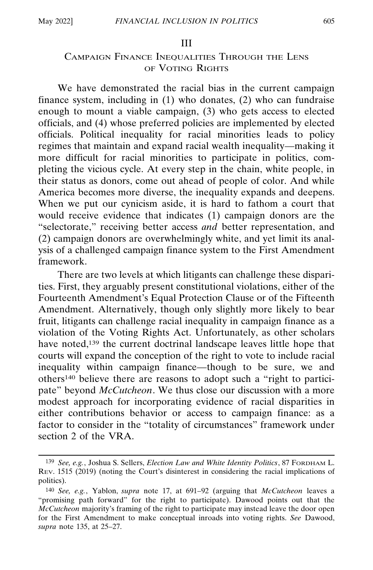#### III

# CAMPAIGN FINANCE INEQUALITIES THROUGH THE LENS OF VOTING RIGHTS

We have demonstrated the racial bias in the current campaign finance system, including in (1) who donates, (2) who can fundraise enough to mount a viable campaign, (3) who gets access to elected officials, and (4) whose preferred policies are implemented by elected officials. Political inequality for racial minorities leads to policy regimes that maintain and expand racial wealth inequality—making it more difficult for racial minorities to participate in politics, completing the vicious cycle. At every step in the chain, white people, in their status as donors, come out ahead of people of color. And while America becomes more diverse, the inequality expands and deepens. When we put our cynicism aside, it is hard to fathom a court that would receive evidence that indicates (1) campaign donors are the "selectorate," receiving better access *and* better representation, and (2) campaign donors are overwhelmingly white, and yet limit its analysis of a challenged campaign finance system to the First Amendment framework.

There are two levels at which litigants can challenge these disparities. First, they arguably present constitutional violations, either of the Fourteenth Amendment's Equal Protection Clause or of the Fifteenth Amendment. Alternatively, though only slightly more likely to bear fruit, litigants can challenge racial inequality in campaign finance as a violation of the Voting Rights Act. Unfortunately, as other scholars have noted,139 the current doctrinal landscape leaves little hope that courts will expand the conception of the right to vote to include racial inequality within campaign finance—though to be sure, we and others140 believe there are reasons to adopt such a "right to participate" beyond *McCutcheon*. We thus close our discussion with a more modest approach for incorporating evidence of racial disparities in either contributions behavior or access to campaign finance: as a factor to consider in the "totality of circumstances" framework under section 2 of the VRA.

<sup>139</sup> *See, e.g.*, Joshua S. Sellers, *Election Law and White Identity Politics*, 87 FORDHAM L. REV. 1515 (2019) (noting the Court's disinterest in considering the racial implications of politics).

<sup>140</sup> *See, e.g.*, Yablon, *supra* note 17, at 691–92 (arguing that *McCutcheon* leaves a "promising path forward" for the right to participate). Dawood points out that the *McCutcheon* majority's framing of the right to participate may instead leave the door open for the First Amendment to make conceptual inroads into voting rights. *See* Dawood, *supra* note 135, at 25–27.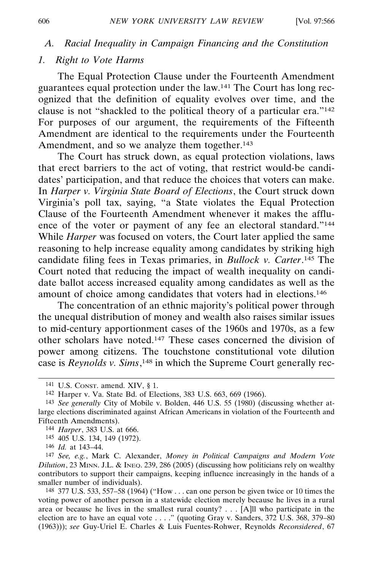### *A. Racial Inequality in Campaign Financing and the Constitution*

### *1. Right to Vote Harms*

The Equal Protection Clause under the Fourteenth Amendment guarantees equal protection under the law.141 The Court has long recognized that the definition of equality evolves over time, and the clause is not "shackled to the political theory of a particular era."142 For purposes of our argument, the requirements of the Fifteenth Amendment are identical to the requirements under the Fourteenth Amendment, and so we analyze them together.<sup>143</sup>

The Court has struck down, as equal protection violations, laws that erect barriers to the act of voting, that restrict would-be candidates' participation, and that reduce the choices that voters can make. In *Harper v. Virginia State Board of Elections*, the Court struck down Virginia's poll tax, saying, "a State violates the Equal Protection Clause of the Fourteenth Amendment whenever it makes the affluence of the voter or payment of any fee an electoral standard."144 While *Harper* was focused on voters, the Court later applied the same reasoning to help increase equality among candidates by striking high candidate filing fees in Texas primaries, in *Bullock v. Carter*. 145 The Court noted that reducing the impact of wealth inequality on candidate ballot access increased equality among candidates as well as the amount of choice among candidates that voters had in elections.146

The concentration of an ethnic majority's political power through the unequal distribution of money and wealth also raises similar issues to mid-century apportionment cases of the 1960s and 1970s, as a few other scholars have noted.147 These cases concerned the division of power among citizens. The touchstone constitutional vote dilution case is *Reynolds v. Sims*, 148 in which the Supreme Court generally rec-

<sup>141</sup> U.S. CONST. amend. XIV, § 1.

<sup>142</sup> Harper v. Va. State Bd. of Elections, 383 U.S. 663, 669 (1966).

<sup>143</sup> *See generally* City of Mobile v. Bolden, 446 U.S. 55 (1980) (discussing whether atlarge elections discriminated against African Americans in violation of the Fourteenth and Fifteenth Amendments).

<sup>144</sup> *Harper*, 383 U.S. at 666.

<sup>145</sup> 405 U.S. 134, 149 (1972).

<sup>146</sup> *Id.* at 143–44.

<sup>147</sup> *See, e.g.*, Mark C. Alexander, *Money in Political Campaigns and Modern Vote Dilution*, 23 MINN. J.L. & INEQ. 239, 286 (2005) (discussing how politicians rely on wealthy contributors to support their campaigns, keeping influence increasingly in the hands of a smaller number of individuals).

<sup>148</sup> 377 U.S. 533, 557–58 (1964) ("How . . . can one person be given twice or 10 times the voting power of another person in a statewide election merely because he lives in a rural area or because he lives in the smallest rural county? . . . [A]ll who participate in the election are to have an equal vote . . . ." (quoting Gray v. Sanders, 372 U.S. 368, 379–80 (1963))); *see* Guy-Uriel E. Charles & Luis Fuentes-Rohwer, Reynolds *Reconsidered*, 67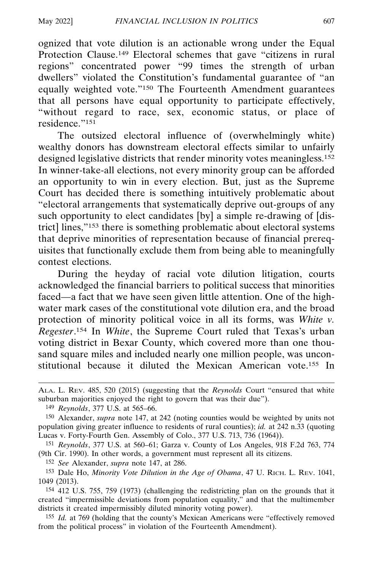ognized that vote dilution is an actionable wrong under the Equal Protection Clause.<sup>149</sup> Electoral schemes that gave "citizens in rural" regions" concentrated power "99 times the strength of urban dwellers" violated the Constitution's fundamental guarantee of "an equally weighted vote."150 The Fourteenth Amendment guarantees that all persons have equal opportunity to participate effectively, "without regard to race, sex, economic status, or place of residence."151

The outsized electoral influence of (overwhelmingly white) wealthy donors has downstream electoral effects similar to unfairly designed legislative districts that render minority votes meaningless.<sup>152</sup> In winner-take-all elections, not every minority group can be afforded an opportunity to win in every election. But, just as the Supreme Court has decided there is something intuitively problematic about "electoral arrangements that systematically deprive out-groups of any such opportunity to elect candidates [by] a simple re-drawing of [district] lines,"153 there is something problematic about electoral systems that deprive minorities of representation because of financial prerequisites that functionally exclude them from being able to meaningfully contest elections.

During the heyday of racial vote dilution litigation, courts acknowledged the financial barriers to political success that minorities faced—a fact that we have seen given little attention. One of the highwater mark cases of the constitutional vote dilution era, and the broad protection of minority political voice in all its forms, was *White v. Regester*. 154 In *White*, the Supreme Court ruled that Texas's urban voting district in Bexar County, which covered more than one thousand square miles and included nearly one million people, was unconstitutional because it diluted the Mexican American vote.155 In

151 *Reynolds*, 377 U.S. at 560–61; Garza v. County of Los Angeles, 918 F.2d 763, 774 (9th Cir. 1990). In other words, a government must represent all its citizens.

152 *See* Alexander, *supra* note 147, at 286.

153 Dale Ho, *Minority Vote Dilution in the Age of Obama*, 47 U. RICH. L. REV. 1041, 1049 (2013).

154 412 U.S. 755, 759 (1973) (challenging the redistricting plan on the grounds that it created "impermissible deviations from population equality," and that the multimember districts it created impermissibly diluted minority voting power).

155 *Id.* at 769 (holding that the county's Mexican Americans were "effectively removed from the political process" in violation of the Fourteenth Amendment).

ALA. L. REV. 485, 520 (2015) (suggesting that the *Reynolds* Court "ensured that white suburban majorities enjoyed the right to govern that was their due").

<sup>149</sup> *Reynolds*, 377 U.S. at 565–66.

<sup>150</sup> Alexander, *supra* note 147, at 242 (noting counties would be weighted by units not population giving greater influence to residents of rural counties); *id.* at 242 n.33 (quoting Lucas v. Forty-Fourth Gen. Assembly of Colo., 377 U.S. 713, 736 (1964)).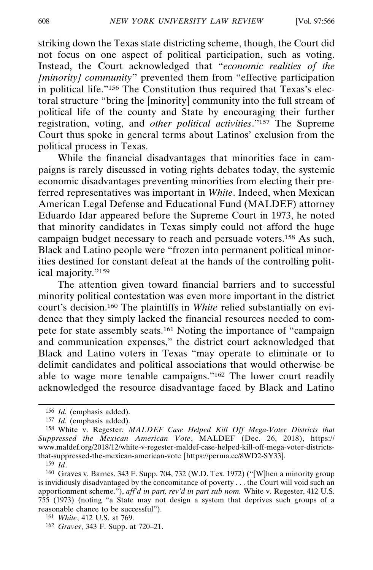striking down the Texas state districting scheme, though, the Court did not focus on one aspect of political participation, such as voting. Instead, the Court acknowledged that "*economic realities of the [minority] community*" prevented them from "effective participation in political life."156 The Constitution thus required that Texas's electoral structure "bring the [minority] community into the full stream of political life of the county and State by encouraging their further registration, voting, and *other political activities*."157 The Supreme Court thus spoke in general terms about Latinos' exclusion from the political process in Texas.

While the financial disadvantages that minorities face in campaigns is rarely discussed in voting rights debates today, the systemic economic disadvantages preventing minorities from electing their preferred representatives was important in *White*. Indeed, when Mexican American Legal Defense and Educational Fund (MALDEF) attorney Eduardo Idar appeared before the Supreme Court in 1973, he noted that minority candidates in Texas simply could not afford the huge campaign budget necessary to reach and persuade voters.158 As such, Black and Latino people were "frozen into permanent political minorities destined for constant defeat at the hands of the controlling political majority."159

The attention given toward financial barriers and to successful minority political contestation was even more important in the district court's decision.160 The plaintiffs in *White* relied substantially on evidence that they simply lacked the financial resources needed to compete for state assembly seats.161 Noting the importance of "campaign and communication expenses," the district court acknowledged that Black and Latino voters in Texas "may operate to eliminate or to delimit candidates and political associations that would otherwise be able to wage more tenable campaigns."162 The lower court readily acknowledged the resource disadvantage faced by Black and Latino

<sup>156</sup> *Id.* (emphasis added).

<sup>157</sup> *Id.* (emphasis added).

<sup>158</sup> White v. Regester*: MALDEF Case Helped Kill Off Mega-Voter Districts that Suppressed the Mexican American Vote*, MALDEF (Dec. 26, 2018), https:// www.maldef.org/2018/12/white-v-regester-maldef-case-helped-kill-off-mega-voter-districtsthat-suppressed-the-mexican-american-vote [https://perma.cc/8WD2-SY33].

<sup>159</sup> *Id*.

<sup>160</sup> Graves v. Barnes, 343 F. Supp. 704, 732 (W.D. Tex. 1972) ("[W]hen a minority group is invidiously disadvantaged by the concomitance of poverty . . . the Court will void such an apportionment scheme."), *aff'd in part, rev'd in part sub nom.* White v. Regester, 412 U.S. 755 (1973) (noting "a State may not design a system that deprives such groups of a reasonable chance to be successful").

<sup>161</sup> *White*, 412 U.S. at 769.

<sup>162</sup> *Graves*, 343 F. Supp. at 720–21.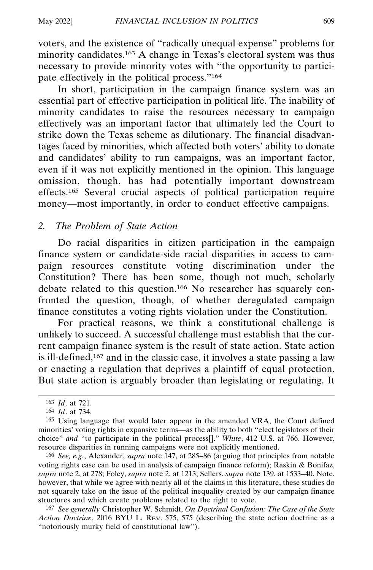voters, and the existence of "radically unequal expense" problems for minority candidates.163 A change in Texas's electoral system was thus necessary to provide minority votes with "the opportunity to participate effectively in the political process."164

In short, participation in the campaign finance system was an essential part of effective participation in political life. The inability of minority candidates to raise the resources necessary to campaign effectively was an important factor that ultimately led the Court to strike down the Texas scheme as dilutionary. The financial disadvantages faced by minorities, which affected both voters' ability to donate and candidates' ability to run campaigns, was an important factor, even if it was not explicitly mentioned in the opinion. This language omission, though, has had potentially important downstream effects.165 Several crucial aspects of political participation require money—most importantly, in order to conduct effective campaigns.

# *2. The Problem of State Action*

Do racial disparities in citizen participation in the campaign finance system or candidate-side racial disparities in access to campaign resources constitute voting discrimination under the Constitution? There has been some, though not much, scholarly debate related to this question.166 No researcher has squarely confronted the question, though, of whether deregulated campaign finance constitutes a voting rights violation under the Constitution.

For practical reasons, we think a constitutional challenge is unlikely to succeed. A successful challenge must establish that the current campaign finance system is the result of state action. State action is ill-defined,167 and in the classic case, it involves a state passing a law or enacting a regulation that deprives a plaintiff of equal protection. But state action is arguably broader than legislating or regulating. It

166 *See, e.g.*, Alexander, *supra* note 147, at 285–86 (arguing that principles from notable voting rights case can be used in analysis of campaign finance reform); Raskin & Bonifaz, *supra* note 2, at 278; Foley, *supra* note 2, at 1213; Sellers, *supra* note 139, at 1533–40. Note, however, that while we agree with nearly all of the claims in this literature, these studies do not squarely take on the issue of the political inequality created by our campaign finance structures and which create problems related to the right to vote.

167 *See generally* Christopher W. Schmidt, *On Doctrinal Confusion: The Case of the State Action Doctrine*, 2016 BYU L. REV. 575, 575 (describing the state action doctrine as a "notoriously murky field of constitutional law").

<sup>163</sup> *Id*. at 721.

<sup>164</sup> *Id*. at 734.

<sup>165</sup> Using language that would later appear in the amended VRA, the Court defined minorities' voting rights in expansive terms—as the ability to both "elect legislators of their choice" *and* "to participate in the political process[]." *White*, 412 U.S. at 766. However, resource disparities in running campaigns were not explicitly mentioned.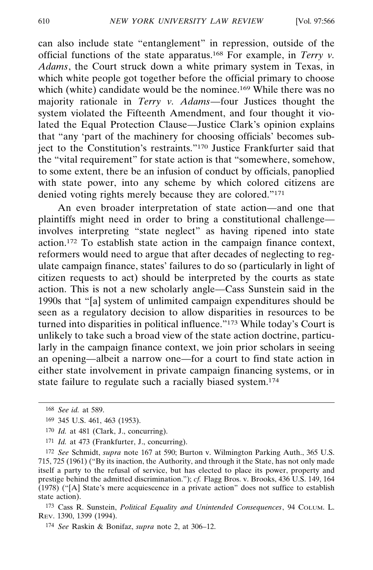can also include state "entanglement" in repression, outside of the official functions of the state apparatus.168 For example, in *Terry v. Adams*, the Court struck down a white primary system in Texas, in which white people got together before the official primary to choose which (white) candidate would be the nominee.<sup>169</sup> While there was no majority rationale in *Terry v. Adams*—four Justices thought the system violated the Fifteenth Amendment, and four thought it violated the Equal Protection Clause—Justice Clark's opinion explains that "any 'part of the machinery for choosing officials' becomes subject to the Constitution's restraints."170 Justice Frankfurter said that the "vital requirement" for state action is that "somewhere, somehow, to some extent, there be an infusion of conduct by officials, panoplied with state power, into any scheme by which colored citizens are denied voting rights merely because they are colored."171

An even broader interpretation of state action—and one that plaintiffs might need in order to bring a constitutional challenge involves interpreting "state neglect" as having ripened into state action.172 To establish state action in the campaign finance context, reformers would need to argue that after decades of neglecting to regulate campaign finance, states' failures to do so (particularly in light of citizen requests to act) should be interpreted by the courts as state action. This is not a new scholarly angle—Cass Sunstein said in the 1990s that "[a] system of unlimited campaign expenditures should be seen as a regulatory decision to allow disparities in resources to be turned into disparities in political influence."173 While today's Court is unlikely to take such a broad view of the state action doctrine, particularly in the campaign finance context, we join prior scholars in seeing an opening—albeit a narrow one—for a court to find state action in either state involvement in private campaign financing systems, or in state failure to regulate such a racially biased system.<sup>174</sup>

<sup>168</sup> *See id.* at 589.

<sup>169</sup> 345 U.S. 461, 463 (1953).

<sup>170</sup> *Id.* at 481 (Clark, J., concurring).

<sup>171</sup> *Id.* at 473 (Frankfurter, J., concurring).

<sup>172</sup> *See* Schmidt, *supra* note 167 at 590; Burton v. Wilmington Parking Auth., 365 U.S. 715, 725 (1961) ("By its inaction, the Authority, and through it the State, has not only made itself a party to the refusal of service, but has elected to place its power, property and prestige behind the admitted discrimination."); *cf.* Flagg Bros. v. Brooks, 436 U.S. 149, 164  $(1978)$  ("[A] State's mere acquiescence in a private action" does not suffice to establish state action).

<sup>173</sup> Cass R. Sunstein, *Political Equality and Unintended Consequences*, 94 COLUM. L. REV. 1390, 1399 (1994).

<sup>174</sup> *See* Raskin & Bonifaz, *supra* note 2, at 306–12.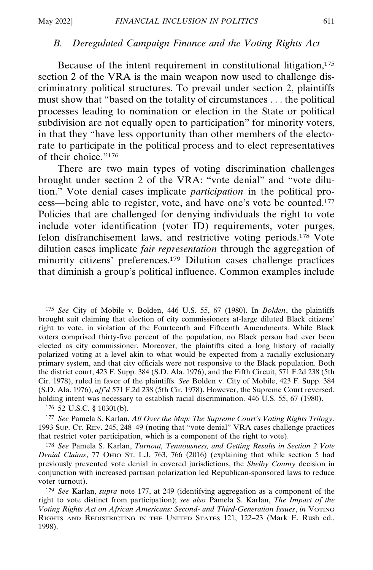# *B. Deregulated Campaign Finance and the Voting Rights Act*

Because of the intent requirement in constitutional litigation.<sup>175</sup> section 2 of the VRA is the main weapon now used to challenge discriminatory political structures. To prevail under section 2, plaintiffs must show that "based on the totality of circumstances . . . the political processes leading to nomination or election in the State or political subdivision are not equally open to participation" for minority voters, in that they "have less opportunity than other members of the electorate to participate in the political process and to elect representatives of their choice."176

There are two main types of voting discrimination challenges brought under section 2 of the VRA: "vote denial" and "vote dilution." Vote denial cases implicate *participation* in the political process—being able to register, vote, and have one's vote be counted.177 Policies that are challenged for denying individuals the right to vote include voter identification (voter ID) requirements, voter purges, felon disfranchisement laws, and restrictive voting periods.178 Vote dilution cases implicate *fair representation* through the aggregation of minority citizens' preferences.179 Dilution cases challenge practices that diminish a group's political influence. Common examples include

176 52 U.S.C. § 10301(b).

<sup>175</sup> *See* City of Mobile v. Bolden, 446 U.S. 55, 67 (1980). In *Bolden*, the plaintiffs brought suit claiming that election of city commissioners at-large diluted Black citizens' right to vote, in violation of the Fourteenth and Fifteenth Amendments. While Black voters comprised thirty-five percent of the population, no Black person had ever been elected as city commissioner. Moreover, the plaintiffs cited a long history of racially polarized voting at a level akin to what would be expected from a racially exclusionary primary system, and that city officials were not responsive to the Black population. Both the district court, 423 F. Supp. 384 (S.D. Ala. 1976), and the Fifth Circuit, 571 F.2d 238 (5th Cir. 1978), ruled in favor of the plaintiffs. *See* Bolden v. City of Mobile, 423 F. Supp. 384 (S.D. Ala. 1976), *aff'd* 571 F.2d 238 (5th Cir. 1978). However, the Supreme Court reversed, holding intent was necessary to establish racial discrimination. 446 U.S. 55, 67 (1980).

<sup>177</sup> *See* Pamela S. Karlan, *All Over the Map: The Supreme Court's Voting Rights Trilogy*, 1993 SUP. CT. REV. 245, 248–49 (noting that "vote denial" VRA cases challenge practices that restrict voter participation, which is a component of the right to vote).

<sup>178</sup> *See* Pamela S. Karlan, *Turnout, Tenuousness, and Getting Results in Section 2 Vote Denial Claims*, 77 OHIO ST. L.J. 763, 766 (2016) (explaining that while section 5 had previously prevented vote denial in covered jurisdictions, the *Shelby County* decision in conjunction with increased partisan polarization led Republican-sponsored laws to reduce voter turnout).

<sup>179</sup> *See* Karlan, *supra* note 177, at 249 (identifying aggregation as a component of the right to vote distinct from participation); *see also* Pamela S. Karlan, *The Impact of the Voting Rights Act on African Americans: Second- and Third-Generation Issues*, *in* VOTING RIGHTS AND REDISTRICTING IN THE UNITED STATES 121, 122–23 (Mark E. Rush ed., 1998).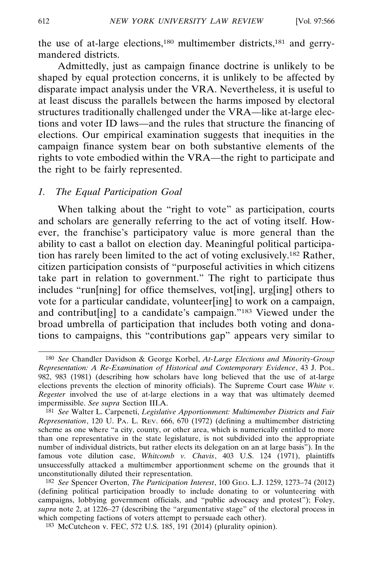the use of at-large elections, $180$  multimember districts, $181$  and gerrymandered districts.

Admittedly, just as campaign finance doctrine is unlikely to be shaped by equal protection concerns, it is unlikely to be affected by disparate impact analysis under the VRA. Nevertheless, it is useful to at least discuss the parallels between the harms imposed by electoral structures traditionally challenged under the VRA—like at-large elections and voter ID laws—and the rules that structure the financing of elections. Our empirical examination suggests that inequities in the campaign finance system bear on both substantive elements of the rights to vote embodied within the VRA—the right to participate and the right to be fairly represented.

#### *1. The Equal Participation Goal*

When talking about the "right to vote" as participation, courts and scholars are generally referring to the act of voting itself. However, the franchise's participatory value is more general than the ability to cast a ballot on election day. Meaningful political participation has rarely been limited to the act of voting exclusively.182 Rather, citizen participation consists of "purposeful activities in which citizens take part in relation to government." The right to participate thus includes "run[ning] for office themselves, vot[ing], urg[ing] others to vote for a particular candidate, volunteer[ing] to work on a campaign, and contribut[ing] to a candidate's campaign."183 Viewed under the broad umbrella of participation that includes both voting and donations to campaigns, this "contributions gap" appears very similar to

<sup>180</sup> *See* Chandler Davidson & George Korbel, *At-Large Elections and Minority-Group Representation: A Re-Examination of Historical and Contemporary Evidence*, 43 J. POL. 982, 983 (1981) (describing how scholars have long believed that the use of at-large elections prevents the election of minority officials). The Supreme Court case *White v. Regester* involved the use of at-large elections in a way that was ultimately deemed impermissible. *See supra* Section III.A.

<sup>181</sup> *See* Walter L. Carpeneti, *Legislative Apportionment: Multimember Districts and Fair Representation*, 120 U. PA. L. REV. 666, 670 (1972) (defining a multimember districting scheme as one where "a city, county, or other area, which is numerically entitled to more than one representative in the state legislature, is not subdivided into the appropriate number of individual districts, but rather elects its delegation on an at large basis"). In the famous vote dilution case, *Whitcomb v. Chavis*, 403 U.S. 124 (1971), plaintiffs unsuccessfully attacked a multimember apportionment scheme on the grounds that it unconstitutionally diluted their representation.

<sup>182</sup> *See* Spencer Overton, *The Participation Interest*, 100 GEO. L.J. 1259, 1273–74 (2012) (defining political participation broadly to include donating to or volunteering with campaigns, lobbying government officials, and "public advocacy and protest"); Foley, *supra* note 2, at 1226–27 (describing the "argumentative stage" of the electoral process in which competing factions of voters attempt to persuade each other).

<sup>183</sup> McCutcheon v. FEC, 572 U.S. 185, 191 (2014) (plurality opinion).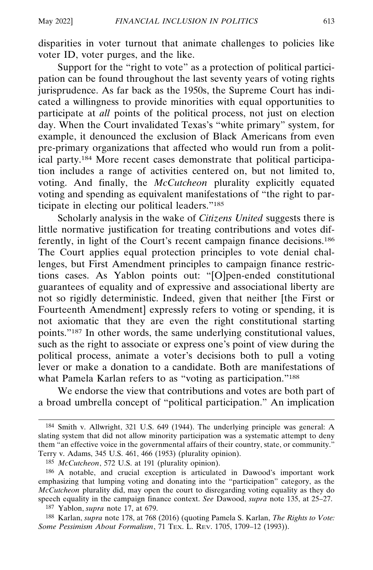disparities in voter turnout that animate challenges to policies like voter ID, voter purges, and the like.

Support for the "right to vote" as a protection of political participation can be found throughout the last seventy years of voting rights jurisprudence. As far back as the 1950s, the Supreme Court has indicated a willingness to provide minorities with equal opportunities to participate at *all* points of the political process, not just on election day. When the Court invalidated Texas's "white primary" system, for example, it denounced the exclusion of Black Americans from even pre-primary organizations that affected who would run from a political party.184 More recent cases demonstrate that political participation includes a range of activities centered on, but not limited to, voting. And finally, the *McCutcheon* plurality explicitly equated voting and spending as equivalent manifestations of "the right to participate in electing our political leaders."185

Scholarly analysis in the wake of *Citizens United* suggests there is little normative justification for treating contributions and votes differently, in light of the Court's recent campaign finance decisions.186 The Court applies equal protection principles to vote denial challenges, but First Amendment principles to campaign finance restrictions cases. As Yablon points out: "[O]pen-ended constitutional guarantees of equality and of expressive and associational liberty are not so rigidly deterministic. Indeed, given that neither [the First or Fourteenth Amendment] expressly refers to voting or spending, it is not axiomatic that they are even the right constitutional starting points."187 In other words, the same underlying constitutional values, such as the right to associate or express one's point of view during the political process, animate a voter's decisions both to pull a voting lever or make a donation to a candidate. Both are manifestations of what Pamela Karlan refers to as "voting as participation."188

We endorse the view that contributions and votes are both part of a broad umbrella concept of "political participation." An implication

187 Yablon, *supra* note 17, at 679.

188 Karlan, *supra* note 178, at 768 (2016) (quoting Pamela S. Karlan, *The Rights to Vote: Some Pessimism About Formalism*, 71 TEX. L. REV. 1705, 1709–12 (1993)).

<sup>184</sup> Smith v. Allwright, 321 U.S. 649 (1944). The underlying principle was general: A slating system that did not allow minority participation was a systematic attempt to deny them "an effective voice in the governmental affairs of their country, state, or community." Terry v. Adams, 345 U.S. 461, 466 (1953) (plurality opinion).

<sup>185</sup> *McCutcheon*, 572 U.S. at 191 (plurality opinion).

<sup>186</sup> A notable, and crucial exception is articulated in Dawood's important work emphasizing that lumping voting and donating into the "participation" category, as the *McCutcheon* plurality did, may open the court to disregarding voting equality as they do speech equality in the campaign finance context. *See* Dawood, *supra* note 135, at 25–27.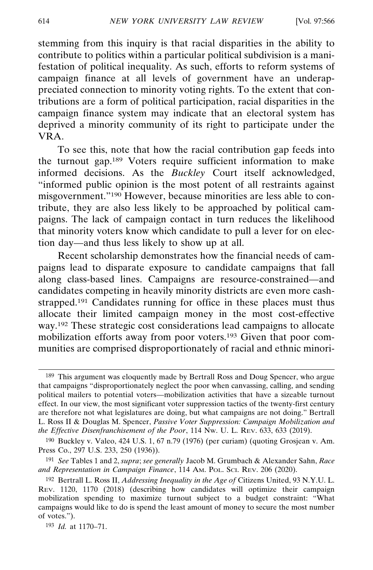stemming from this inquiry is that racial disparities in the ability to contribute to politics within a particular political subdivision is a manifestation of political inequality. As such, efforts to reform systems of campaign finance at all levels of government have an underappreciated connection to minority voting rights. To the extent that contributions are a form of political participation, racial disparities in the campaign finance system may indicate that an electoral system has deprived a minority community of its right to participate under the VRA.

To see this, note that how the racial contribution gap feeds into the turnout gap.189 Voters require sufficient information to make informed decisions. As the *Buckley* Court itself acknowledged, "informed public opinion is the most potent of all restraints against misgovernment."190 However, because minorities are less able to contribute, they are also less likely to be approached by political campaigns. The lack of campaign contact in turn reduces the likelihood that minority voters know which candidate to pull a lever for on election day—and thus less likely to show up at all.

Recent scholarship demonstrates how the financial needs of campaigns lead to disparate exposure to candidate campaigns that fall along class-based lines. Campaigns are resource-constrained—and candidates competing in heavily minority districts are even more cashstrapped.191 Candidates running for office in these places must thus allocate their limited campaign money in the most cost-effective way.192 These strategic cost considerations lead campaigns to allocate mobilization efforts away from poor voters.193 Given that poor communities are comprised disproportionately of racial and ethnic minori-

193 *Id.* at 1170–71.

<sup>189</sup> This argument was eloquently made by Bertrall Ross and Doug Spencer, who argue that campaigns "disproportionately neglect the poor when canvassing, calling, and sending political mailers to potential voters—mobilization activities that have a sizeable turnout effect. In our view, the most significant voter suppression tactics of the twenty-first century are therefore not what legislatures are doing, but what campaigns are not doing." Bertrall L. Ross II & Douglas M. Spencer, *Passive Voter Suppression: Campaign Mobilization and the Effective Disenfranchisement of the Poor*, 114 NW. U. L. REV. 633, 633 (2019).

<sup>190</sup> Buckley v. Valeo, 424 U.S. 1, 67 n.79 (1976) (per curiam) (quoting Grosjean v. Am. Press Co., 297 U.S. 233, 250 (1936)).

<sup>191</sup> *See* Tables 1 and 2, *supra*; *see generally* Jacob M. Grumbach & Alexander Sahn, *Race and Representation in Campaign Finance*, 114 AM. POL. SCI. REV. 206 (2020).

<sup>192</sup> Bertrall L. Ross II, *Addressing Inequality in the Age of* Citizens United, 93 N.Y.U. L. REV. 1120, 1170 (2018) (describing how candidates will optimize their campaign mobilization spending to maximize turnout subject to a budget constraint: "What campaigns would like to do is spend the least amount of money to secure the most number of votes.").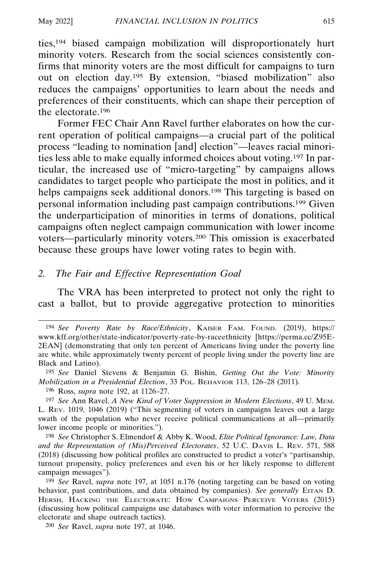ties,194 biased campaign mobilization will disproportionately hurt minority voters. Research from the social sciences consistently confirms that minority voters are the most difficult for campaigns to turn out on election day.195 By extension, "biased mobilization" also reduces the campaigns' opportunities to learn about the needs and preferences of their constituents, which can shape their perception of the electorate.196

Former FEC Chair Ann Ravel further elaborates on how the current operation of political campaigns—a crucial part of the political process "leading to nomination [and] election"—leaves racial minorities less able to make equally informed choices about voting.197 In particular, the increased use of "micro-targeting" by campaigns allows candidates to target people who participate the most in politics, and it helps campaigns seek additional donors.<sup>198</sup> This targeting is based on personal information including past campaign contributions.199 Given the underparticipation of minorities in terms of donations, political campaigns often neglect campaign communication with lower income voters—particularly minority voters.200 This omission is exacerbated because these groups have lower voting rates to begin with.

### *2. The Fair and Effective Representation Goal*

The VRA has been interpreted to protect not only the right to cast a ballot, but to provide aggregative protection to minorities

200 *See* Ravel, *supra* note 197, at 1046.

<sup>194</sup> *See Poverty Rate by Race/Ethnicity*, KAISER FAM. FOUND. (2019), https:// www.kff.org/other/state-indicator/poverty-rate-by-raceethnicity [https://perma.cc/Z95E-2EAN] (demonstrating that only ten percent of Americans living under the poverty line are white, while approximately twenty percent of people living under the poverty line are Black and Latino).

<sup>195</sup> *See* Daniel Stevens & Benjamin G. Bishin, *Getting Out the Vote: Minority Mobilization in a Presidential Election*, 33 POL. BEHAVIOR 113, 126–28 (2011).

<sup>196</sup> Ross, *supra* note 192, at 1126–27.

<sup>197</sup> *See* Ann Ravel, *A New Kind of Voter Suppression in Modern Elections*, 49 U. MEM. L. REV. 1019, 1046 (2019) ("This segmenting of voters in campaigns leaves out a large swath of the population who never receive political communications at all—primarily lower income people or minorities.").

<sup>198</sup> *See* Christopher S. Elmendorf & Abby K. Wood, *Elite Political Ignorance: Law, Data and the Representation of (Mis)Perceived Electorates*, 52 U.C. DAVIS L. REV. 571, 588 (2018) (discussing how political profiles are constructed to predict a voter's "partisanship, turnout propensity, policy preferences and even his or her likely response to different campaign messages").

<sup>199</sup> *See* Ravel, *supra* note 197, at 1051 n.176 (noting targeting can be based on voting behavior, past contributions, and data obtained by companies). See generally EITAN D. HERSH, HACKING THE ELECTORATE: HOW CAMPAIGNS PERCEIVE VOTERS (2015) (discussing how political campaigns use databases with voter information to perceive the electorate and shape outreach tactics).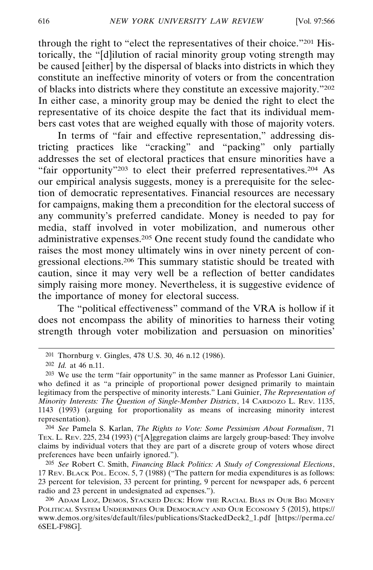through the right to "elect the representatives of their choice."201 Historically, the "[d]ilution of racial minority group voting strength may be caused [either] by the dispersal of blacks into districts in which they constitute an ineffective minority of voters or from the concentration of blacks into districts where they constitute an excessive majority."202 In either case, a minority group may be denied the right to elect the representative of its choice despite the fact that its individual members cast votes that are weighed equally with those of majority voters.

In terms of "fair and effective representation," addressing districting practices like "cracking" and "packing" only partially addresses the set of electoral practices that ensure minorities have a "fair opportunity"203 to elect their preferred representatives.204 As our empirical analysis suggests, money is a prerequisite for the selection of democratic representatives. Financial resources are necessary for campaigns, making them a precondition for the electoral success of any community's preferred candidate. Money is needed to pay for media, staff involved in voter mobilization, and numerous other administrative expenses.205 One recent study found the candidate who raises the most money ultimately wins in over ninety percent of congressional elections.206 This summary statistic should be treated with caution, since it may very well be a reflection of better candidates simply raising more money. Nevertheless, it is suggestive evidence of the importance of money for electoral success.

The "political effectiveness" command of the VRA is hollow if it does not encompass the ability of minorities to harness their voting strength through voter mobilization and persuasion on minorities'

204 *See* Pamela S. Karlan, *The Rights to Vote: Some Pessimism About Formalism*, 71 TEX. L. REV. 225, 234 (1993) ("[A]ggregation claims are largely group-based: They involve claims by individual voters that they are part of a discrete group of voters whose direct preferences have been unfairly ignored.").

205 *See* Robert C. Smith, *Financing Black Politics: A Study of Congressional Elections*, 17 REV. BLACK POL. ECON. 5, 7 (1988) ("The pattern for media expenditures is as follows: 23 percent for television, 33 percent for printing, 9 percent for newspaper ads, 6 percent radio and 23 percent in undesignated ad expenses.").

206 ADAM LIOZ, DEMOS, STACKED DECK: HOW THE RACIAL BIAS IN OUR BIG MONEY POLITICAL SYSTEM UNDERMINES OUR DEMOCRACY AND OUR ECONOMY 5 (2015), https:// www.demos.org/sites/default/files/publications/StackedDeck2\_1.pdf [https://perma.cc/ 6SEL-F98G].

<sup>201</sup> Thornburg v. Gingles, 478 U.S. 30, 46 n.12 (1986).

<sup>202</sup> *Id.* at 46 n.11.

<sup>203</sup> We use the term "fair opportunity" in the same manner as Professor Lani Guinier, who defined it as "a principle of proportional power designed primarily to maintain legitimacy from the perspective of minority interests." Lani Guinier, *The Representation of Minority Interests: The Question of Single-Member Districts*, 14 CARDOZO L. REV. 1135, 1143 (1993) (arguing for proportionality as means of increasing minority interest representation).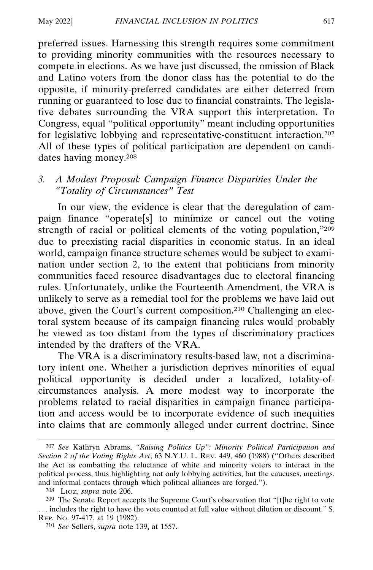preferred issues. Harnessing this strength requires some commitment to providing minority communities with the resources necessary to compete in elections. As we have just discussed, the omission of Black and Latino voters from the donor class has the potential to do the opposite, if minority-preferred candidates are either deterred from running or guaranteed to lose due to financial constraints. The legislative debates surrounding the VRA support this interpretation. To Congress, equal "political opportunity" meant including opportunities for legislative lobbying and representative-constituent interaction.207 All of these types of political participation are dependent on candidates having money.208

# *3. A Modest Proposal: Campaign Finance Disparities Under the "Totality of Circumstances" Test*

In our view, the evidence is clear that the deregulation of campaign finance "operate[s] to minimize or cancel out the voting strength of racial or political elements of the voting population,"209 due to preexisting racial disparities in economic status. In an ideal world, campaign finance structure schemes would be subject to examination under section 2, to the extent that politicians from minority communities faced resource disadvantages due to electoral financing rules. Unfortunately, unlike the Fourteenth Amendment, the VRA is unlikely to serve as a remedial tool for the problems we have laid out above, given the Court's current composition.210 Challenging an electoral system because of its campaign financing rules would probably be viewed as too distant from the types of discriminatory practices intended by the drafters of the VRA.

The VRA is a discriminatory results-based law, not a discriminatory intent one. Whether a jurisdiction deprives minorities of equal political opportunity is decided under a localized, totality-ofcircumstances analysis. A more modest way to incorporate the problems related to racial disparities in campaign finance participation and access would be to incorporate evidence of such inequities into claims that are commonly alleged under current doctrine. Since

<sup>207</sup> *See* Kathryn Abrams, *"Raising Politics Up": Minority Political Participation and Section 2 of the Voting Rights Act*, 63 N.Y.U. L. REV. 449, 460 (1988) ("Others described the Act as combatting the reluctance of white and minority voters to interact in the political process, thus highlighting not only lobbying activities, but the caucuses, meetings, and informal contacts through which political alliances are forged.").

<sup>208</sup> LIOZ, *supra* note 206.

<sup>209</sup> The Senate Report accepts the Supreme Court's observation that "[t]he right to vote . . . includes the right to have the vote counted at full value without dilution or discount." S. REP. NO. 97-417, at 19 (1982).

<sup>210</sup> *See* Sellers, *supra* note 139, at 1557.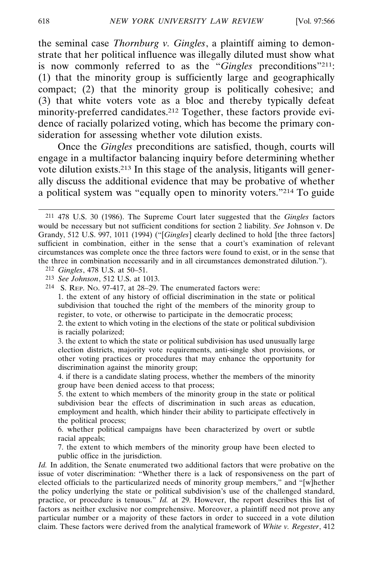the seminal case *Thornburg v. Gingles*, a plaintiff aiming to demonstrate that her political influence was illegally diluted must show what is now commonly referred to as the "*Gingles* preconditions"211: (1) that the minority group is sufficiently large and geographically compact; (2) that the minority group is politically cohesive; and (3) that white voters vote as a bloc and thereby typically defeat minority-preferred candidates.212 Together, these factors provide evidence of racially polarized voting, which has become the primary consideration for assessing whether vote dilution exists.

Once the *Gingles* preconditions are satisfied, though, courts will engage in a multifactor balancing inquiry before determining whether vote dilution exists.213 In this stage of the analysis, litigants will generally discuss the additional evidence that may be probative of whether a political system was "equally open to minority voters."214 To guide

1. the extent of any history of official discrimination in the state or political subdivision that touched the right of the members of the minority group to register, to vote, or otherwise to participate in the democratic process;

7. the extent to which members of the minority group have been elected to public office in the jurisdiction.

*Id.* In addition, the Senate enumerated two additional factors that were probative on the issue of voter discrimination: "Whether there is a lack of responsiveness on the part of elected officials to the particularized needs of minority group members," and "[w]hether the policy underlying the state or political subdivision's use of the challenged standard, practice, or procedure is tenuous." *Id.* at 29. However, the report describes this list of factors as neither exclusive nor comprehensive. Moreover, a plaintiff need not prove any particular number or a majority of these factors in order to succeed in a vote dilution claim. These factors were derived from the analytical framework of *White v. Regester*, 412

<sup>211</sup> 478 U.S. 30 (1986). The Supreme Court later suggested that the *Gingles* factors would be necessary but not sufficient conditions for section 2 liability. *See* Johnson v. De Grandy, 512 U.S. 997, 1011 (1994) ("[*Gingles*] clearly declined to hold [the three factors] sufficient in combination, either in the sense that a court's examination of relevant circumstances was complete once the three factors were found to exist, or in the sense that the three in combination necessarily and in all circumstances demonstrated dilution.").

<sup>212</sup> *Gingles*, 478 U.S. at 50–51.

<sup>213</sup> *See Johnson*, 512 U.S. at 1013.

<sup>214</sup> S. REP. NO. 97-417, at 28–29. The enumerated factors were:

<sup>2.</sup> the extent to which voting in the elections of the state or political subdivision is racially polarized;

<sup>3.</sup> the extent to which the state or political subdivision has used unusually large election districts, majority vote requirements, anti-single shot provisions, or other voting practices or procedures that may enhance the opportunity for discrimination against the minority group;

<sup>4.</sup> if there is a candidate slating process, whether the members of the minority group have been denied access to that process;

<sup>5.</sup> the extent to which members of the minority group in the state or political subdivision bear the effects of discrimination in such areas as education, employment and health, which hinder their ability to participate effectively in the political process;

<sup>6.</sup> whether political campaigns have been characterized by overt or subtle racial appeals;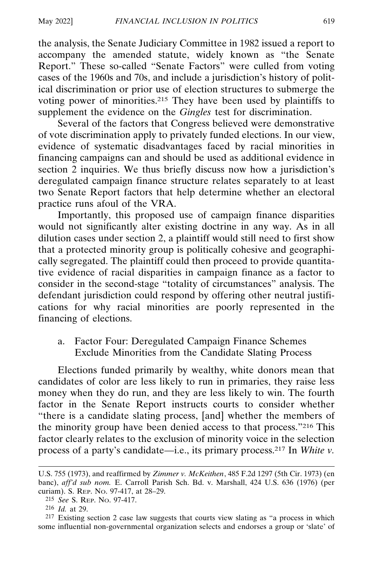the analysis, the Senate Judiciary Committee in 1982 issued a report to accompany the amended statute, widely known as "the Senate Report." These so-called "Senate Factors" were culled from voting cases of the 1960s and 70s, and include a jurisdiction's history of political discrimination or prior use of election structures to submerge the voting power of minorities.215 They have been used by plaintiffs to supplement the evidence on the *Gingles* test for discrimination.

Several of the factors that Congress believed were demonstrative of vote discrimination apply to privately funded elections. In our view, evidence of systematic disadvantages faced by racial minorities in financing campaigns can and should be used as additional evidence in section 2 inquiries. We thus briefly discuss now how a jurisdiction's deregulated campaign finance structure relates separately to at least two Senate Report factors that help determine whether an electoral practice runs afoul of the VRA.

Importantly, this proposed use of campaign finance disparities would not significantly alter existing doctrine in any way. As in all dilution cases under section 2, a plaintiff would still need to first show that a protected minority group is politically cohesive and geographically segregated. The plaintiff could then proceed to provide quantitative evidence of racial disparities in campaign finance as a factor to consider in the second-stage "totality of circumstances" analysis. The defendant jurisdiction could respond by offering other neutral justifications for why racial minorities are poorly represented in the financing of elections.

a. Factor Four: Deregulated Campaign Finance Schemes Exclude Minorities from the Candidate Slating Process

Elections funded primarily by wealthy, white donors mean that candidates of color are less likely to run in primaries, they raise less money when they do run, and they are less likely to win. The fourth factor in the Senate Report instructs courts to consider whether "there is a candidate slating process, [and] whether the members of the minority group have been denied access to that process."216 This factor clearly relates to the exclusion of minority voice in the selection process of a party's candidate—i.e., its primary process.217 In *White v.*

U.S. 755 (1973), and reaffirmed by *Zimmer v. McKeithen*, 485 F.2d 1297 (5th Cir. 1973) (en banc), *aff'd sub nom.* E. Carroll Parish Sch. Bd. v. Marshall, 424 U.S. 636 (1976) (per curiam). S. REP. NO. 97-417, at 28–29.

<sup>215</sup> *See* S. REP. NO. 97-417.

<sup>216</sup> *Id.* at 29.

<sup>217</sup> Existing section 2 case law suggests that courts view slating as "a process in which some influential non-governmental organization selects and endorses a group or 'slate' of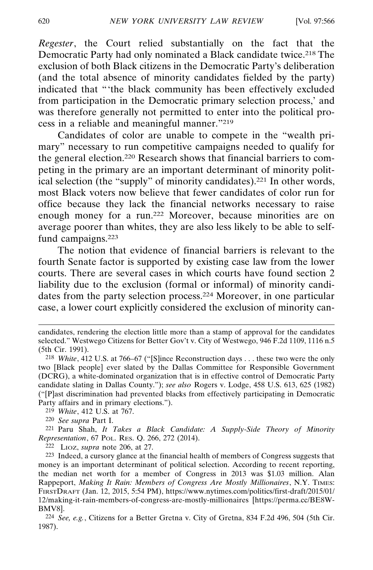*Regester*, the Court relied substantially on the fact that the Democratic Party had only nominated a Black candidate twice.218 The exclusion of both Black citizens in the Democratic Party's deliberation (and the total absence of minority candidates fielded by the party) indicated that "'the black community has been effectively excluded from participation in the Democratic primary selection process,' and was therefore generally not permitted to enter into the political process in a reliable and meaningful manner."219

Candidates of color are unable to compete in the "wealth primary" necessary to run competitive campaigns needed to qualify for the general election.220 Research shows that financial barriers to competing in the primary are an important determinant of minority political selection (the "supply" of minority candidates).221 In other words, most Black voters now believe that fewer candidates of color run for office because they lack the financial networks necessary to raise enough money for a run.222 Moreover, because minorities are on average poorer than whites, they are also less likely to be able to selffund campaigns.223

The notion that evidence of financial barriers is relevant to the fourth Senate factor is supported by existing case law from the lower courts. There are several cases in which courts have found section 2 liability due to the exclusion (formal or informal) of minority candidates from the party selection process.224 Moreover, in one particular case, a lower court explicitly considered the exclusion of minority can-

222 LIOZ, *supra* note 206, at 27.

223 Indeed, a cursory glance at the financial health of members of Congress suggests that money is an important determinant of political selection. According to recent reporting, the median net worth for a member of Congress in 2013 was \$1.03 million. Alan Rappeport, *Making It Rain: Members of Congress Are Mostly Millionaires*, N.Y. TIMES: FIRSTDRAFT (Jan. 12, 2015, 5:54 PM), https://www.nytimes.com/politics/first-draft/2015/01/ 12/making-it-rain-members-of-congress-are-mostly-millionaires [https://perma.cc/BE8W-BMV8].

224 *See, e.g.*, Citizens for a Better Gretna v. City of Gretna, 834 F.2d 496, 504 (5th Cir. 1987).

candidates, rendering the election little more than a stamp of approval for the candidates selected." Westwego Citizens for Better Gov't v. City of Westwego, 946 F.2d 1109, 1116 n.5 (5th Cir. 1991).

<sup>218</sup> *White*, 412 U.S. at 766–67 ("[S]ince Reconstruction days . . . these two were the only two [Black people] ever slated by the Dallas Committee for Responsible Government (DCRG), a white-dominated organization that is in effective control of Democratic Party candidate slating in Dallas County."); *see also* Rogers v. Lodge, 458 U.S. 613, 625 (1982) ("[P]ast discrimination had prevented blacks from effectively participating in Democratic Party affairs and in primary elections.").

<sup>219</sup> *White*, 412 U.S. at 767.

<sup>220</sup> *See supra* Part I.

<sup>221</sup> Paru Shah, *It Takes a Black Candidate: A Supply-Side Theory of Minority Representation*, 67 POL. RES. Q. 266, 272 (2014).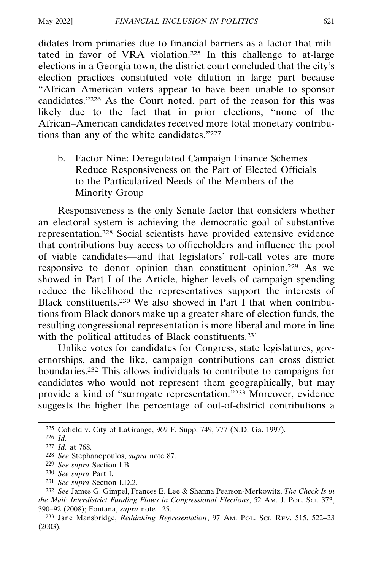didates from primaries due to financial barriers as a factor that militated in favor of VRA violation.225 In this challenge to at-large elections in a Georgia town, the district court concluded that the city's election practices constituted vote dilution in large part because "African–American voters appear to have been unable to sponsor candidates."226 As the Court noted, part of the reason for this was likely due to the fact that in prior elections, "none of the African–American candidates received more total monetary contributions than any of the white candidates."227

b. Factor Nine: Deregulated Campaign Finance Schemes Reduce Responsiveness on the Part of Elected Officials to the Particularized Needs of the Members of the Minority Group

Responsiveness is the only Senate factor that considers whether an electoral system is achieving the democratic goal of substantive representation.228 Social scientists have provided extensive evidence that contributions buy access to officeholders and influence the pool of viable candidates—and that legislators' roll-call votes are more responsive to donor opinion than constituent opinion.229 As we showed in Part I of the Article, higher levels of campaign spending reduce the likelihood the representatives support the interests of Black constituents.230 We also showed in Part I that when contributions from Black donors make up a greater share of election funds, the resulting congressional representation is more liberal and more in line with the political attitudes of Black constituents.<sup>231</sup>

Unlike votes for candidates for Congress, state legislatures, governorships, and the like, campaign contributions can cross district boundaries.232 This allows individuals to contribute to campaigns for candidates who would not represent them geographically, but may provide a kind of "surrogate representation."233 Moreover, evidence suggests the higher the percentage of out-of-district contributions a

- 230 *See supra* Part I.
- 231 *See supra* Section I.D.2.

<sup>225</sup> Cofield v. City of LaGrange, 969 F. Supp. 749, 777 (N.D. Ga. 1997).

<sup>226</sup> *Id.*

<sup>227</sup> *Id.* at 768.

<sup>228</sup> *See* Stephanopoulos, *supra* note 87.

<sup>229</sup> *See supra* Section I.B.

<sup>232</sup> *See* James G. Gimpel, Frances E. Lee & Shanna Pearson-Merkowitz, *The Check Is in the Mail: Interdistrict Funding Flows in Congressional Elections*, 52 AM. J. POL. SCI. 373, 390–92 (2008); Fontana, *supra* note 125.

<sup>233</sup> Jane Mansbridge, *Rethinking Representation*, 97 AM. POL. SCI. REV. 515, 522–23 (2003).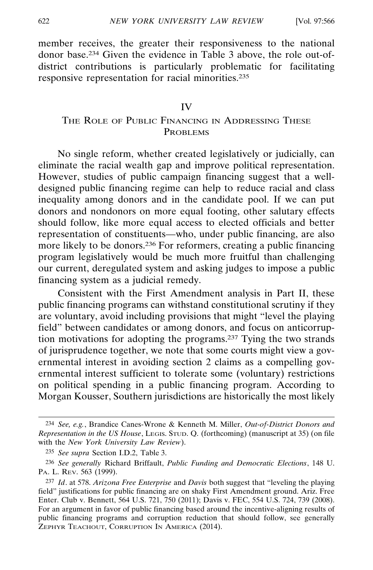member receives, the greater their responsiveness to the national donor base.234 Given the evidence in Table 3 above, the role out-ofdistrict contributions is particularly problematic for facilitating responsive representation for racial minorities.235

#### IV

# THE ROLE OF PUBLIC FINANCING IN ADDRESSING THESE PROBLEMS.

No single reform, whether created legislatively or judicially, can eliminate the racial wealth gap and improve political representation. However, studies of public campaign financing suggest that a welldesigned public financing regime can help to reduce racial and class inequality among donors and in the candidate pool. If we can put donors and nondonors on more equal footing, other salutary effects should follow, like more equal access to elected officials and better representation of constituents—who, under public financing, are also more likely to be donors.236 For reformers, creating a public financing program legislatively would be much more fruitful than challenging our current, deregulated system and asking judges to impose a public financing system as a judicial remedy.

Consistent with the First Amendment analysis in Part II, these public financing programs can withstand constitutional scrutiny if they are voluntary, avoid including provisions that might "level the playing field" between candidates or among donors, and focus on anticorruption motivations for adopting the programs.237 Tying the two strands of jurisprudence together, we note that some courts might view a governmental interest in avoiding section 2 claims as a compelling governmental interest sufficient to tolerate some (voluntary) restrictions on political spending in a public financing program. According to Morgan Kousser, Southern jurisdictions are historically the most likely

<sup>234</sup> *See, e.g.*, Brandice Canes-Wrone & Kenneth M. Miller, *Out-of-District Donors and Representation in the US House*, LEGIS. STUD. Q. (forthcoming) (manuscript at 35) (on file with the *New York University Law Review*).

<sup>235</sup> *See supra* Section I.D.2, Table 3.

<sup>236</sup> *See generally* Richard Briffault, *Public Funding and Democratic Elections*, 148 U. PA. L. REV. 563 (1999).

<sup>237</sup> *Id*. at 578. *Arizona Free Enterprise* and *Davis* both suggest that "leveling the playing field" justifications for public financing are on shaky First Amendment ground. Ariz. Free Enter. Club v. Bennett, 564 U.S. 721, 750 (2011); Davis v. FEC, 554 U.S. 724, 739 (2008). For an argument in favor of public financing based around the incentive-aligning results of public financing programs and corruption reduction that should follow, see generally ZEPHYR TEACHOUT, CORRUPTION IN AMERICA (2014).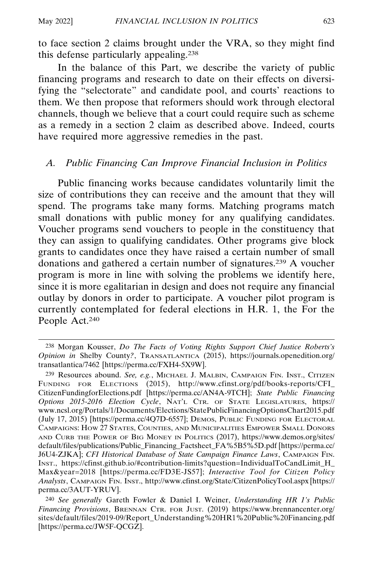to face section 2 claims brought under the VRA, so they might find this defense particularly appealing.238

In the balance of this Part, we describe the variety of public financing programs and research to date on their effects on diversifying the "selectorate" and candidate pool, and courts' reactions to them. We then propose that reformers should work through electoral channels, though we believe that a court could require such as scheme as a remedy in a section 2 claim as described above. Indeed, courts have required more aggressive remedies in the past.

### *A. Public Financing Can Improve Financial Inclusion in Politics*

Public financing works because candidates voluntarily limit the size of contributions they can receive and the amount that they will spend. The programs take many forms. Matching programs match small donations with public money for any qualifying candidates. Voucher programs send vouchers to people in the constituency that they can assign to qualifying candidates. Other programs give block grants to candidates once they have raised a certain number of small donations and gathered a certain number of signatures.239 A voucher program is more in line with solving the problems we identify here, since it is more egalitarian in design and does not require any financial outlay by donors in order to participate. A voucher pilot program is currently contemplated for federal elections in H.R. 1, the For the People Act.<sup>240</sup>

<sup>238</sup> Morgan Kousser, *Do The Facts of Voting Rights Support Chief Justice Roberts's Opinion in* Shelby County*?*, TRANSATLANTICA (2015), https://journals.openedition.org/ transatlantica/7462 [https://perma.cc/FXH4-5X9W].

<sup>239</sup> Resources abound. *See, e.g.*, MICHAEL J. MALBIN, CAMPAIGN FIN. INST., CITIZEN FUNDING FOR ELECTIONS (2015), http://www.cfinst.org/pdf/books-reports/CFI\_ CitizenFundingforElections.pdf [https://perma.cc/AN4A-9TCH]; *State Public Financing Options 2015-2016 Election Cycle*, NAT'L CTR. OF STATE LEGISLATURES, https:// www.ncsl.org/Portals/1/Documents/Elections/StatePublicFinancingOptionsChart2015.pdf (July 17, 2015) [https://perma.cc/4Q7D-6557]; DEMOS, PUBLIC FUNDING FOR ELECTORAL CAMPAIGNS: HOW 27 STATES, COUNTIES, AND MUNICIPALITIES EMPOWER SMALL DONORS AND CURB THE POWER OF BIG MONEY IN POLITICS (2017), https://www.demos.org/sites/ default/files/publications/Public\_Financing\_Factsheet\_FA%5B5%5D.pdf [https://perma.cc/ J6U4-ZJKA]; *CFI Historical Database of State Campaign Finance Laws*, CAMPAIGN FIN. INST., https://cfinst.github.io/#contribution-limits?question=IndividualToCandLimit\_H\_ Max&year=2018 [https://perma.cc/FD3E-JS57]; *Interactive Tool for Citizen Policy Analysts*, CAMPAIGN FIN. INST., http://www.cfinst.org/State/CitizenPolicyTool.aspx [https:// perma.cc/3AUT-YRUV].

<sup>240</sup> *See generally* Gareth Fowler & Daniel I. Weiner, *Understanding HR 1's Public Financing Provisions*, BRENNAN CTR. FOR JUST. (2019) https://www.brennancenter.org/ sites/default/files/2019-09/Report\_Understanding%20HR1%20Public%20Financing.pdf [https://perma.cc/JW5F-QCGZ].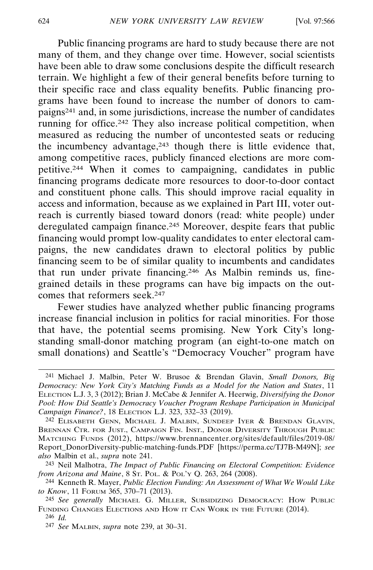Public financing programs are hard to study because there are not many of them, and they change over time. However, social scientists have been able to draw some conclusions despite the difficult research terrain. We highlight a few of their general benefits before turning to their specific race and class equality benefits. Public financing programs have been found to increase the number of donors to campaigns241 and, in some jurisdictions, increase the number of candidates running for office.242 They also increase political competition, when measured as reducing the number of uncontested seats or reducing the incumbency advantage,<sup>243</sup> though there is little evidence that, among competitive races, publicly financed elections are more competitive.244 When it comes to campaigning, candidates in public financing programs dedicate more resources to door-to-door contact and constituent phone calls. This should improve racial equality in access and information, because as we explained in Part III, voter outreach is currently biased toward donors (read: white people) under deregulated campaign finance.245 Moreover, despite fears that public financing would prompt low-quality candidates to enter electoral campaigns, the new candidates drawn to electoral politics by public financing seem to be of similar quality to incumbents and candidates that run under private financing.246 As Malbin reminds us, finegrained details in these programs can have big impacts on the outcomes that reformers seek.247

Fewer studies have analyzed whether public financing programs increase financial inclusion in politics for racial minorities. For those that have, the potential seems promising. New York City's longstanding small-donor matching program (an eight-to-one match on small donations) and Seattle's "Democracy Voucher" program have

<sup>241</sup> Michael J. Malbin, Peter W. Brusoe & Brendan Glavin, *Small Donors, Big Democracy: New York City's Matching Funds as a Model for the Nation and States*, 11 ELECTION L.J. 3, 3 (2012); Brian J. McCabe & Jennifer A. Heerwig, *Diversifying the Donor Pool: How Did Seattle's Democracy Voucher Program Reshape Participation in Municipal Campaign Finance?*, 18 ELECTION L.J. 323, 332–33 (2019).

<sup>242</sup> ELISABETH GENN, MICHAEL J. MALBIN, SUNDEEP IYER & BRENDAN GLAVIN, BRENNAN CTR. FOR JUST., CAMPAIGN FIN. INST., DONOR DIVERSITY THROUGH PUBLIC MATCHING FUNDS (2012), https://www.brennancenter.org/sites/default/files/2019-08/ Report\_DonorDiversity-public-matching-funds.PDF [https://perma.cc/TJ7B-M49N]; *see also* Malbin et al., *supra* note 241.

<sup>243</sup> Neil Malhotra, *The Impact of Public Financing on Electoral Competition: Evidence from Arizona and Maine*, 8 ST. POL. & POL'Y Q. 263, 264 (2008).

<sup>244</sup> Kenneth R. Mayer, *Public Election Funding: An Assessment of What We Would Like to Know*, 11 FORUM 365, 370–71 (2013).

<sup>245</sup> *See generally* MICHAEL G. MILLER, SUBSIDIZING DEMOCRACY: HOW PUBLIC FUNDING CHANGES ELECTIONS AND HOW IT CAN WORK IN THE FUTURE (2014).

<sup>246</sup> *Id.*

<sup>247</sup> *See* MALBIN, *supra* note 239, at 30–31.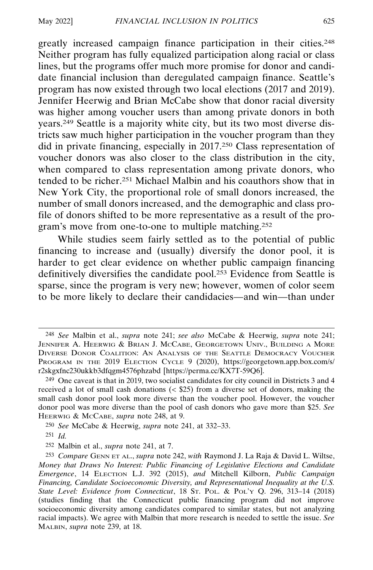greatly increased campaign finance participation in their cities.248 Neither program has fully equalized participation along racial or class lines, but the programs offer much more promise for donor and candidate financial inclusion than deregulated campaign finance. Seattle's program has now existed through two local elections (2017 and 2019). Jennifer Heerwig and Brian McCabe show that donor racial diversity was higher among voucher users than among private donors in both years.249 Seattle is a majority white city, but its two most diverse districts saw much higher participation in the voucher program than they did in private financing, especially in 2017.250 Class representation of voucher donors was also closer to the class distribution in the city, when compared to class representation among private donors, who tended to be richer.251 Michael Malbin and his coauthors show that in New York City, the proportional role of small donors increased, the number of small donors increased, and the demographic and class profile of donors shifted to be more representative as a result of the program's move from one-to-one to multiple matching.252

While studies seem fairly settled as to the potential of public financing to increase and (usually) diversify the donor pool, it is harder to get clear evidence on whether public campaign financing definitively diversifies the candidate pool.253 Evidence from Seattle is sparse, since the program is very new; however, women of color seem to be more likely to declare their candidacies—and win—than under

<sup>248</sup> *See* Malbin et al., *supra* note 241; *see also* McCabe & Heerwig, *supra* note 241; JENNIFER A. HEERWIG & BRIAN J. MCCABE, GEORGETOWN UNIV., BUILDING A MORE DIVERSE DONOR COALITION: AN ANALYSIS OF THE SEATTLE DEMOCRACY VOUCHER PROGRAM IN THE 2019 ELECTION CYCLE 9 (2020), https://georgetown.app.box.com/s/ r2skgxfnc230ukkb3dfqgm4576phzabd [https://perma.cc/KX7T-59Q6].

<sup>249</sup> One caveat is that in 2019, two socialist candidates for city council in Districts 3 and 4 received a lot of small cash donations  $( $$25$ )$  from a diverse set of donors, making the small cash donor pool look more diverse than the voucher pool. However, the voucher donor pool was more diverse than the pool of cash donors who gave more than \$25. *See* HEERWIG & MCCABE, *supra* note 248, at 9.

<sup>250</sup> *See* McCabe & Heerwig, *supra* note 241, at 332–33.

<sup>251</sup> *Id.*

<sup>252</sup> Malbin et al., *supra* note 241, at 7.

<sup>253</sup> *Compare* GENN ET AL., *supra* note 242, *with* Raymond J. La Raja & David L. Wiltse, *Money that Draws No Interest: Public Financing of Legislative Elections and Candidate Emergence*, 14 ELECTION L.J. 392 (2015), *and* Mitchell Kilborn, *Public Campaign Financing, Candidate Socioeconomic Diversity, and Representational Inequality at the U.S. State Level: Evidence from Connecticut*, 18 ST. POL. & POL'Y Q. 296, 313–14 (2018) (studies finding that the Connecticut public financing program did not improve socioeconomic diversity among candidates compared to similar states, but not analyzing racial impacts). We agree with Malbin that more research is needed to settle the issue. *See* MALBIN, *supra* note 239, at 18.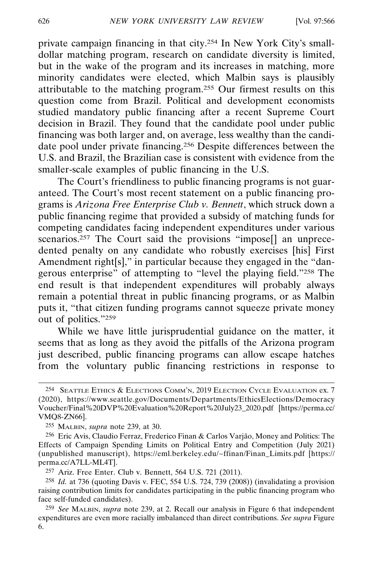private campaign financing in that city.254 In New York City's smalldollar matching program, research on candidate diversity is limited, but in the wake of the program and its increases in matching, more minority candidates were elected, which Malbin says is plausibly attributable to the matching program.255 Our firmest results on this question come from Brazil. Political and development economists studied mandatory public financing after a recent Supreme Court decision in Brazil. They found that the candidate pool under public financing was both larger and, on average, less wealthy than the candidate pool under private financing.256 Despite differences between the U.S. and Brazil, the Brazilian case is consistent with evidence from the smaller-scale examples of public financing in the U.S.

The Court's friendliness to public financing programs is not guaranteed. The Court's most recent statement on a public financing programs is *Arizona Free Enterprise Club v. Bennett*, which struck down a public financing regime that provided a subsidy of matching funds for competing candidates facing independent expenditures under various scenarios.<sup>257</sup> The Court said the provisions "impose<sup>[]</sup> an unprecedented penalty on any candidate who robustly exercises [his] First Amendment right[s]," in particular because they engaged in the "dangerous enterprise" of attempting to "level the playing field."258 The end result is that independent expenditures will probably always remain a potential threat in public financing programs, or as Malbin puts it, "that citizen funding programs cannot squeeze private money out of politics."259

While we have little jurisprudential guidance on the matter, it seems that as long as they avoid the pitfalls of the Arizona program just described, public financing programs can allow escape hatches from the voluntary public financing restrictions in response to

<sup>254</sup> SEATTLE ETHICS & ELECTIONS COMM'N, 2019 ELECTION CYCLE EVALUATION ex. 7 (2020), https://www.seattle.gov/Documents/Departments/EthicsElections/Democracy Voucher/Final%20DVP%20Evaluation%20Report%20July23\_2020.pdf [https://perma.cc/ VMQ8-ZN66].

<sup>255</sup> MALBIN, *supra* note 239, at 30.

 $256$  Eric Avis, Claudio Ferraz, Frederico Finan & Carlos Varjão, Money and Politics: The Effects of Campaign Spending Limits on Political Entry and Competition (July 2021) (unpublished manuscript), https://eml.berkeley.edu/~ffinan/Finan\_Limits.pdf [https:// perma.cc/A7LL-ML4T].

<sup>257</sup> Ariz. Free Enter. Club v. Bennett, 564 U.S. 721 (2011).

<sup>258</sup> *Id.* at 736 (quoting Davis v. FEC, 554 U.S. 724, 739 (2008)) (invalidating a provision raising contribution limits for candidates participating in the public financing program who face self-funded candidates).

<sup>259</sup> *See* MALBIN, *supra* note 239, at 2. Recall our analysis in Figure 6 that independent expenditures are even more racially imbalanced than direct contributions. *See supra* Figure 6.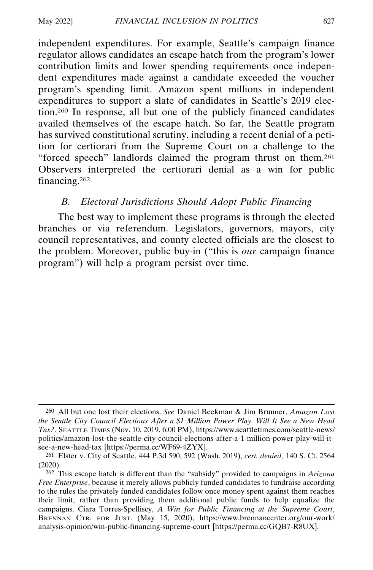independent expenditures. For example, Seattle's campaign finance regulator allows candidates an escape hatch from the program's lower contribution limits and lower spending requirements once independent expenditures made against a candidate exceeded the voucher program's spending limit. Amazon spent millions in independent expenditures to support a slate of candidates in Seattle's 2019 election.260 In response, all but one of the publicly financed candidates availed themselves of the escape hatch. So far, the Seattle program has survived constitutional scrutiny, including a recent denial of a petition for certiorari from the Supreme Court on a challenge to the "forced speech" landlords claimed the program thrust on them.261 Observers interpreted the certiorari denial as a win for public financing.262

### *B. Electoral Jurisdictions Should Adopt Public Financing*

The best way to implement these programs is through the elected branches or via referendum. Legislators, governors, mayors, city council representatives, and county elected officials are the closest to the problem. Moreover, public buy-in ("this is *our* campaign finance program") will help a program persist over time.

<sup>260</sup> All but one lost their elections. *See* Daniel Beekman & Jim Brunner, *Amazon Lost the Seattle City Council Elections After a \$1 Million Power Play. Will It See a New Head Tax?*, SEATTLE TIMES (Nov. 10, 2019, 6:00 PM), https://www.seattletimes.com/seattle-news/ politics/amazon-lost-the-seattle-city-council-elections-after-a-1-million-power-play-will-itsee-a-new-head-tax [https://perma.cc/WF69-4ZYX].

<sup>261</sup> Elster v. City of Seattle, 444 P.3d 590, 592 (Wash. 2019), *cert. denied*, 140 S. Ct. 2564 (2020).

<sup>262</sup> This escape hatch is different than the "subsidy" provided to campaigns in *Arizona Free Enterprise*, because it merely allows publicly funded candidates to fundraise according to the rules the privately funded candidates follow once money spent against them reaches their limit, rather than providing them additional public funds to help equalize the campaigns. Ciara Torres-Spelliscy, *A Win for Public Financing at the Supreme Court*, BRENNAN CTR. FOR JUST. (May 15, 2020), https://www.brennancenter.org/our-work/ analysis-opinion/win-public-financing-supreme-court [https://perma.cc/GQB7-R8UX].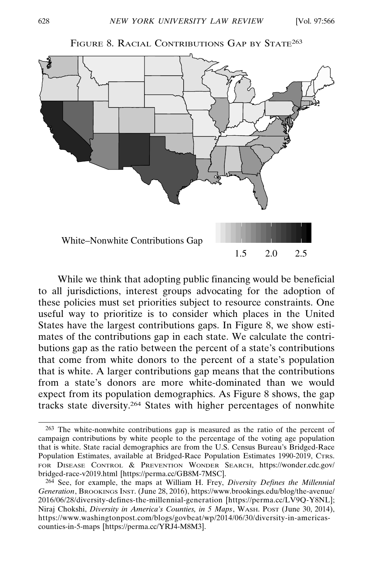

FIGURE 8. RACIAL CONTRIBUTIONS GAP BY STATE<sup>263</sup>

While we think that adopting public financing would be beneficial to all jurisdictions, interest groups advocating for the adoption of these policies must set priorities subject to resource constraints. One useful way to prioritize is to consider which places in the United States have the largest contributions gaps. In Figure 8, we show estimates of the contributions gap in each state. We calculate the contributions gap as the ratio between the percent of a state's contributions that come from white donors to the percent of a state's population that is white. A larger contributions gap means that the contributions from a state's donors are more white-dominated than we would expect from its population demographics. As Figure 8 shows, the gap tracks state diversity.264 States with higher percentages of nonwhite

<sup>263</sup> The white-nonwhite contributions gap is measured as the ratio of the percent of campaign contributions by white people to the percentage of the voting age population that is white. State racial demographics are from the U.S. Census Bureau's Bridged-Race Population Estimates, available at Bridged-Race Population Estimates 1990-2019, CTRS. FOR DISEASE CONTROL & PREVENTION WONDER SEARCH, https://wonder.cdc.gov/ bridged-race-v2019.html [https://perma.cc/GB8M-7MSC].

<sup>264</sup> See, for example, the maps at William H. Frey, *Diversity Defines the Millennial Generation*, BROOKINGS INST. (June 28, 2016), https://www.brookings.edu/blog/the-avenue/ 2016/06/28/diversity-defines-the-millennial-generation [https://perma.cc/LV9Q-Y8NL]; Niraj Chokshi, *Diversity in America's Counties, in 5 Maps*, WASH. POST (June 30, 2014), https://www.washingtonpost.com/blogs/govbeat/wp/2014/06/30/diversity-in-americascounties-in-5-maps [https://perma.cc/YRJ4-M8M3].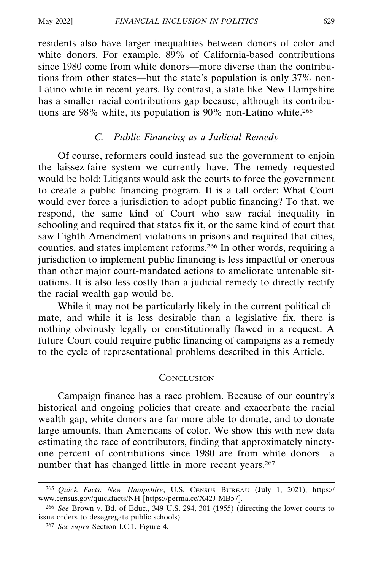residents also have larger inequalities between donors of color and white donors. For example, 89% of California-based contributions since 1980 come from white donors—more diverse than the contributions from other states—but the state's population is only 37% non-Latino white in recent years. By contrast, a state like New Hampshire has a smaller racial contributions gap because, although its contributions are 98% white, its population is 90% non-Latino white.265

# *C. Public Financing as a Judicial Remedy*

Of course, reformers could instead sue the government to enjoin the laissez-faire system we currently have. The remedy requested would be bold: Litigants would ask the courts to force the government to create a public financing program. It is a tall order: What Court would ever force a jurisdiction to adopt public financing? To that, we respond, the same kind of Court who saw racial inequality in schooling and required that states fix it, or the same kind of court that saw Eighth Amendment violations in prisons and required that cities, counties, and states implement reforms.266 In other words, requiring a jurisdiction to implement public financing is less impactful or onerous than other major court-mandated actions to ameliorate untenable situations. It is also less costly than a judicial remedy to directly rectify the racial wealth gap would be.

While it may not be particularly likely in the current political climate, and while it is less desirable than a legislative fix, there is nothing obviously legally or constitutionally flawed in a request. A future Court could require public financing of campaigns as a remedy to the cycle of representational problems described in this Article.

### **CONCLUSION**

Campaign finance has a race problem. Because of our country's historical and ongoing policies that create and exacerbate the racial wealth gap, white donors are far more able to donate, and to donate large amounts, than Americans of color. We show this with new data estimating the race of contributors, finding that approximately ninetyone percent of contributions since 1980 are from white donors—a number that has changed little in more recent years.<sup>267</sup>

<sup>265</sup> *Quick Facts: New Hampshire*, U.S. CENSUS BUREAU (July 1, 2021), https:// www.census.gov/quickfacts/NH [https://perma.cc/X42J-MB57].

<sup>266</sup> *See* Brown v. Bd. of Educ., 349 U.S. 294, 301 (1955) (directing the lower courts to issue orders to desegregate public schools).

<sup>267</sup> *See supra* Section I.C.1, Figure 4.